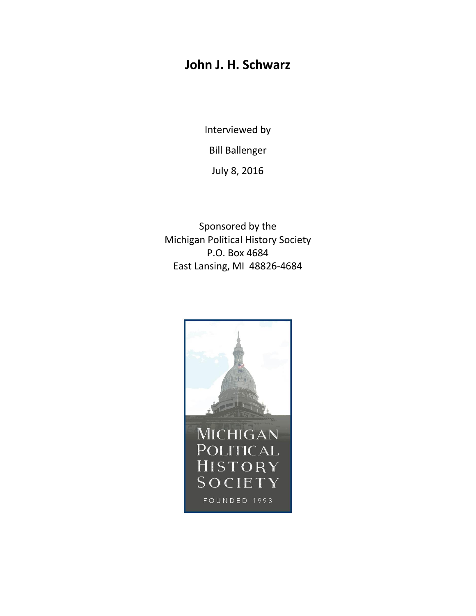# **John J. H. Schwarz**

Interviewed by Bill Ballenger

July 8, 2016

Sponsored by the Michigan Political History Society P.O. Box 4684 East Lansing, MI 48826-4684

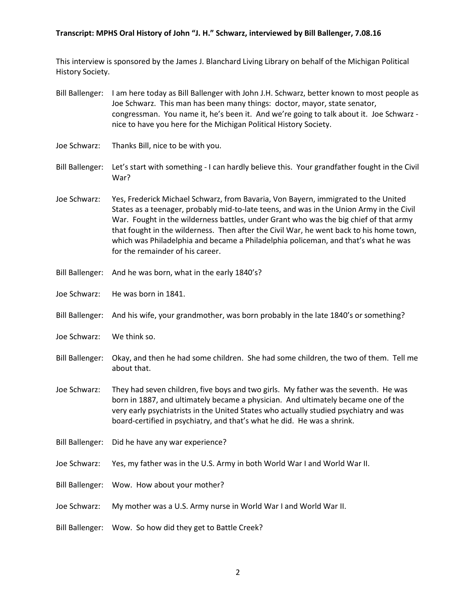This interview is sponsored by the James J. Blanchard Living Library on behalf of the Michigan Political History Society.

- Bill Ballenger: I am here today as Bill Ballenger with John J.H. Schwarz, better known to most people as Joe Schwarz. This man has been many things: doctor, mayor, state senator, congressman. You name it, he's been it. And we're going to talk about it. Joe Schwarz nice to have you here for the Michigan Political History Society.
- Joe Schwarz: Thanks Bill, nice to be with you.
- Bill Ballenger: Let's start with something I can hardly believe this. Your grandfather fought in the Civil War?
- Joe Schwarz: Yes, Frederick Michael Schwarz, from Bavaria, Von Bayern, immigrated to the United States as a teenager, probably mid-to-late teens, and was in the Union Army in the Civil War. Fought in the wilderness battles, under Grant who was the big chief of that army that fought in the wilderness. Then after the Civil War, he went back to his home town, which was Philadelphia and became a Philadelphia policeman, and that's what he was for the remainder of his career.
- Bill Ballenger: And he was born, what in the early 1840's?
- Joe Schwarz: He was born in 1841.
- Bill Ballenger: And his wife, your grandmother, was born probably in the late 1840's or something?
- Joe Schwarz: We think so.
- Bill Ballenger: Okay, and then he had some children. She had some children, the two of them. Tell me about that.
- Joe Schwarz: They had seven children, five boys and two girls. My father was the seventh. He was born in 1887, and ultimately became a physician. And ultimately became one of the very early psychiatrists in the United States who actually studied psychiatry and was board-certified in psychiatry, and that's what he did. He was a shrink.
- Bill Ballenger: Did he have any war experience?
- Joe Schwarz: Yes, my father was in the U.S. Army in both World War I and World War II.
- Bill Ballenger: Wow. How about your mother?
- Joe Schwarz: My mother was a U.S. Army nurse in World War I and World War II.
- Bill Ballenger: Wow. So how did they get to Battle Creek?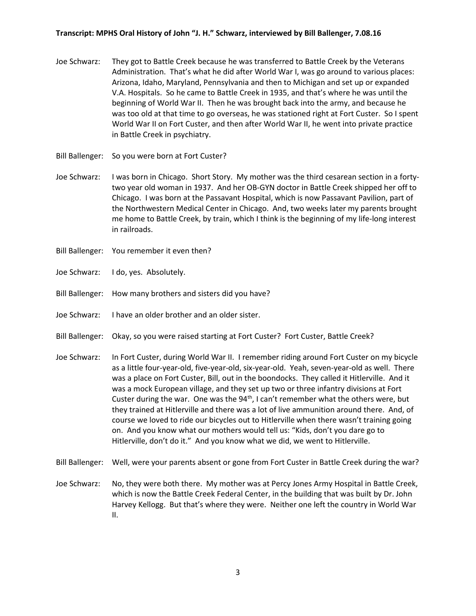- Joe Schwarz: They got to Battle Creek because he was transferred to Battle Creek by the Veterans Administration. That's what he did after World War I, was go around to various places: Arizona, Idaho, Maryland, Pennsylvania and then to Michigan and set up or expanded V.A. Hospitals. So he came to Battle Creek in 1935, and that's where he was until the beginning of World War II. Then he was brought back into the army, and because he was too old at that time to go overseas, he was stationed right at Fort Custer. So I spent World War II on Fort Custer, and then after World War II, he went into private practice in Battle Creek in psychiatry.
- Bill Ballenger: So you were born at Fort Custer?
- Joe Schwarz: I was born in Chicago. Short Story. My mother was the third cesarean section in a fortytwo year old woman in 1937. And her OB-GYN doctor in Battle Creek shipped her off to Chicago. I was born at the Passavant Hospital, which is now Passavant Pavilion, part of the Northwestern Medical Center in Chicago. And, two weeks later my parents brought me home to Battle Creek, by train, which I think is the beginning of my life-long interest in railroads.
- Bill Ballenger: You remember it even then?
- Joe Schwarz: I do, yes. Absolutely.
- Bill Ballenger: How many brothers and sisters did you have?
- Joe Schwarz: I have an older brother and an older sister.
- Bill Ballenger: Okay, so you were raised starting at Fort Custer? Fort Custer, Battle Creek?
- Joe Schwarz: In Fort Custer, during World War II. I remember riding around Fort Custer on my bicycle as a little four-year-old, five-year-old, six-year-old. Yeah, seven-year-old as well. There was a place on Fort Custer, Bill, out in the boondocks. They called it Hitlerville. And it was a mock European village, and they set up two or three infantry divisions at Fort Custer during the war. One was the  $94<sup>th</sup>$ , I can't remember what the others were, but they trained at Hitlerville and there was a lot of live ammunition around there. And, of course we loved to ride our bicycles out to Hitlerville when there wasn't training going on. And you know what our mothers would tell us: "Kids, don't you dare go to Hitlerville, don't do it." And you know what we did, we went to Hitlerville.
- Bill Ballenger: Well, were your parents absent or gone from Fort Custer in Battle Creek during the war?
- Joe Schwarz: No, they were both there. My mother was at Percy Jones Army Hospital in Battle Creek, which is now the Battle Creek Federal Center, in the building that was built by Dr. John Harvey Kellogg. But that's where they were. Neither one left the country in World War II.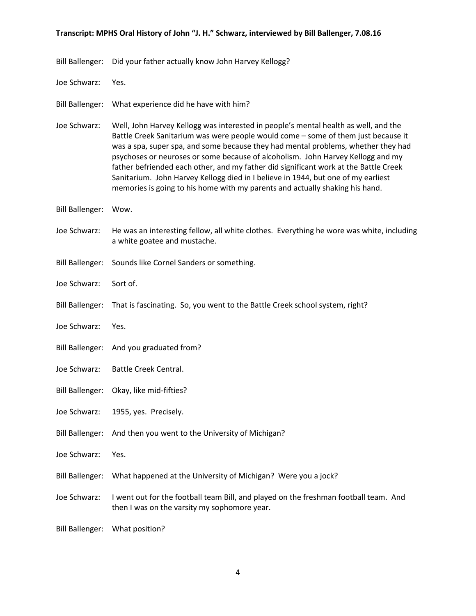- Bill Ballenger: Did your father actually know John Harvey Kellogg?
- Joe Schwarz: Yes.
- Bill Ballenger: What experience did he have with him?
- Joe Schwarz: Well, John Harvey Kellogg was interested in people's mental health as well, and the Battle Creek Sanitarium was were people would come – some of them just because it was a spa, super spa, and some because they had mental problems, whether they had psychoses or neuroses or some because of alcoholism. John Harvey Kellogg and my father befriended each other, and my father did significant work at the Battle Creek Sanitarium. John Harvey Kellogg died in I believe in 1944, but one of my earliest memories is going to his home with my parents and actually shaking his hand.
- Bill Ballenger: Wow.
- Joe Schwarz: He was an interesting fellow, all white clothes. Everything he wore was white, including a white goatee and mustache.
- Bill Ballenger: Sounds like Cornel Sanders or something.
- Joe Schwarz: Sort of.
- Bill Ballenger: That is fascinating. So, you went to the Battle Creek school system, right?
- Joe Schwarz: Yes.
- Bill Ballenger: And you graduated from?
- Joe Schwarz: Battle Creek Central.
- Bill Ballenger: Okay, like mid-fifties?
- Joe Schwarz: 1955, yes. Precisely.
- Bill Ballenger: And then you went to the University of Michigan?
- Joe Schwarz: Yes.
- Bill Ballenger: What happened at the University of Michigan? Were you a jock?
- Joe Schwarz: I went out for the football team Bill, and played on the freshman football team. And then I was on the varsity my sophomore year.
- Bill Ballenger: What position?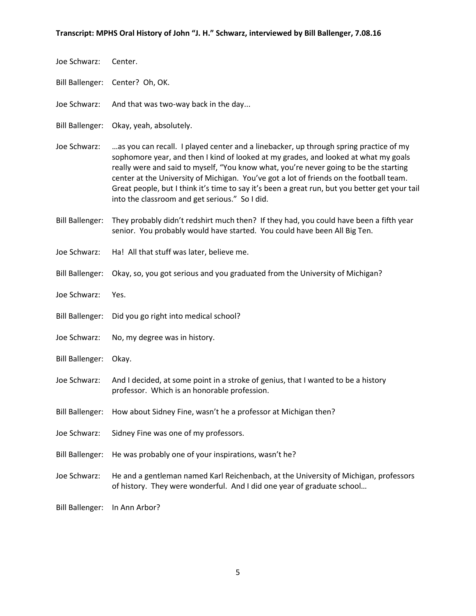Joe Schwarz: Center.

Bill Ballenger: Center? Oh, OK.

- Joe Schwarz: And that was two-way back in the day...
- Bill Ballenger: Okay, yeah, absolutely.
- Joe Schwarz: …as you can recall. I played center and a linebacker, up through spring practice of my sophomore year, and then I kind of looked at my grades, and looked at what my goals really were and said to myself, "You know what, you're never going to be the starting center at the University of Michigan. You've got a lot of friends on the football team. Great people, but I think it's time to say it's been a great run, but you better get your tail into the classroom and get serious." So I did.
- Bill Ballenger: They probably didn't redshirt much then? If they had, you could have been a fifth year senior. You probably would have started. You could have been All Big Ten.
- Joe Schwarz: Ha! All that stuff was later, believe me.
- Bill Ballenger: Okay, so, you got serious and you graduated from the University of Michigan?
- Joe Schwarz: Yes.
- Bill Ballenger: Did you go right into medical school?
- Joe Schwarz: No, my degree was in history.
- Bill Ballenger: Okay.
- Joe Schwarz: And I decided, at some point in a stroke of genius, that I wanted to be a history professor. Which is an honorable profession.
- Bill Ballenger: How about Sidney Fine, wasn't he a professor at Michigan then?
- Joe Schwarz: Sidney Fine was one of my professors.
- Bill Ballenger: He was probably one of your inspirations, wasn't he?
- Joe Schwarz: He and a gentleman named Karl Reichenbach, at the University of Michigan, professors of history. They were wonderful. And I did one year of graduate school…
- Bill Ballenger: In Ann Arbor?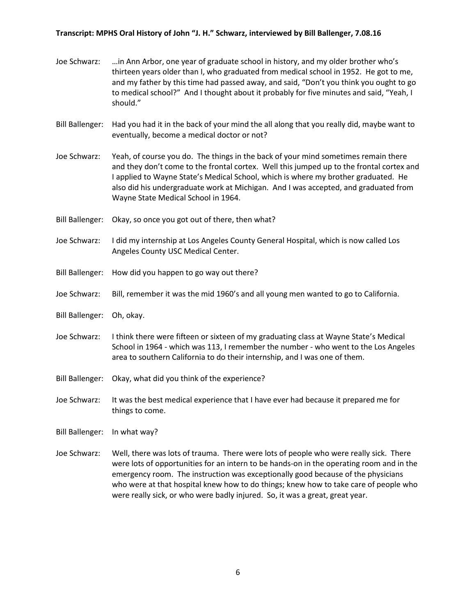- Joe Schwarz: …in Ann Arbor, one year of graduate school in history, and my older brother who's thirteen years older than I, who graduated from medical school in 1952. He got to me, and my father by this time had passed away, and said, "Don't you think you ought to go to medical school?" And I thought about it probably for five minutes and said, "Yeah, I should."
- Bill Ballenger: Had you had it in the back of your mind the all along that you really did, maybe want to eventually, become a medical doctor or not?
- Joe Schwarz: Yeah, of course you do. The things in the back of your mind sometimes remain there and they don't come to the frontal cortex. Well this jumped up to the frontal cortex and I applied to Wayne State's Medical School, which is where my brother graduated. He also did his undergraduate work at Michigan. And I was accepted, and graduated from Wayne State Medical School in 1964.
- Bill Ballenger: Okay, so once you got out of there, then what?
- Joe Schwarz: I did my internship at Los Angeles County General Hospital, which is now called Los Angeles County USC Medical Center.
- Bill Ballenger: How did you happen to go way out there?
- Joe Schwarz: Bill, remember it was the mid 1960's and all young men wanted to go to California.
- Bill Ballenger: Oh, okay.
- Joe Schwarz: I think there were fifteen or sixteen of my graduating class at Wayne State's Medical School in 1964 - which was 113, I remember the number - who went to the Los Angeles area to southern California to do their internship, and I was one of them.
- Bill Ballenger: Okay, what did you think of the experience?
- Joe Schwarz: It was the best medical experience that I have ever had because it prepared me for things to come.
- Bill Ballenger: In what way?
- Joe Schwarz: Well, there was lots of trauma. There were lots of people who were really sick. There were lots of opportunities for an intern to be hands-on in the operating room and in the emergency room. The instruction was exceptionally good because of the physicians who were at that hospital knew how to do things; knew how to take care of people who were really sick, or who were badly injured. So, it was a great, great year.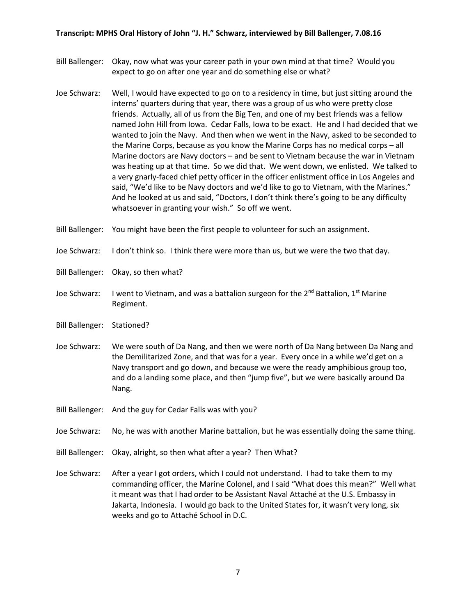- Bill Ballenger: Okay, now what was your career path in your own mind at that time? Would you expect to go on after one year and do something else or what?
- Joe Schwarz: Well, I would have expected to go on to a residency in time, but just sitting around the interns' quarters during that year, there was a group of us who were pretty close friends. Actually, all of us from the Big Ten, and one of my best friends was a fellow named John Hill from Iowa. Cedar Falls, Iowa to be exact. He and I had decided that we wanted to join the Navy. And then when we went in the Navy, asked to be seconded to the Marine Corps, because as you know the Marine Corps has no medical corps – all Marine doctors are Navy doctors – and be sent to Vietnam because the war in Vietnam was heating up at that time. So we did that. We went down, we enlisted. We talked to a very gnarly-faced chief petty officer in the officer enlistment office in Los Angeles and said, "We'd like to be Navy doctors and we'd like to go to Vietnam, with the Marines." And he looked at us and said, "Doctors, I don't think there's going to be any difficulty whatsoever in granting your wish." So off we went.

Bill Ballenger: You might have been the first people to volunteer for such an assignment.

- Joe Schwarz: I don't think so. I think there were more than us, but we were the two that day.
- Bill Ballenger: Okay, so then what?
- Joe Schwarz: I went to Vietnam, and was a battalion surgeon for the 2<sup>nd</sup> Battalion, 1<sup>st</sup> Marine Regiment.
- Bill Ballenger: Stationed?
- Joe Schwarz: We were south of Da Nang, and then we were north of Da Nang between Da Nang and the Demilitarized Zone, and that was for a year. Every once in a while we'd get on a Navy transport and go down, and because we were the ready amphibious group too, and do a landing some place, and then "jump five", but we were basically around Da Nang.
- Bill Ballenger: And the guy for Cedar Falls was with you?
- Joe Schwarz: No, he was with another Marine battalion, but he was essentially doing the same thing.
- Bill Ballenger: Okay, alright, so then what after a year? Then What?
- Joe Schwarz: After a year I got orders, which I could not understand. I had to take them to my commanding officer, the Marine Colonel, and I said "What does this mean?" Well what it meant was that I had order to be Assistant Naval Attaché at the U.S. Embassy in Jakarta, Indonesia. I would go back to the United States for, it wasn't very long, six weeks and go to Attaché School in D.C.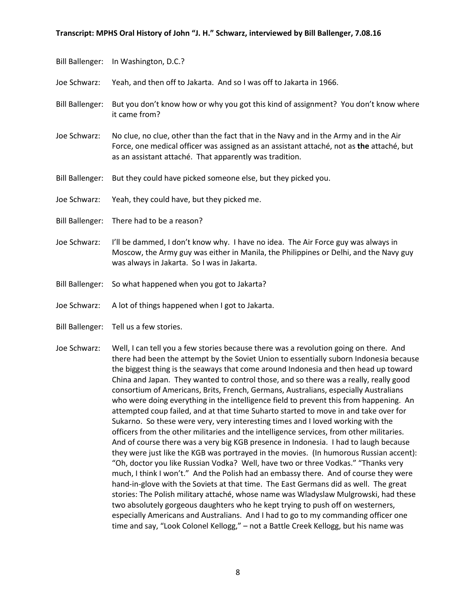Bill Ballenger: In Washington, D.C.?

Joe Schwarz: Yeah, and then off to Jakarta. And so I was off to Jakarta in 1966.

- Bill Ballenger: But you don't know how or why you got this kind of assignment? You don't know where it came from?
- Joe Schwarz: No clue, no clue, other than the fact that in the Navy and in the Army and in the Air Force, one medical officer was assigned as an assistant attaché, not as **the** attaché, but as an assistant attaché. That apparently was tradition.
- Bill Ballenger: But they could have picked someone else, but they picked you.
- Joe Schwarz: Yeah, they could have, but they picked me.
- Bill Ballenger: There had to be a reason?
- Joe Schwarz: I'll be dammed, I don't know why. I have no idea. The Air Force guy was always in Moscow, the Army guy was either in Manila, the Philippines or Delhi, and the Navy guy was always in Jakarta. So I was in Jakarta.
- Bill Ballenger: So what happened when you got to Jakarta?
- Joe Schwarz: A lot of things happened when I got to Jakarta.
- Bill Ballenger: Tell us a few stories.
- Joe Schwarz: Well, I can tell you a few stories because there was a revolution going on there. And there had been the attempt by the Soviet Union to essentially suborn Indonesia because the biggest thing is the seaways that come around Indonesia and then head up toward China and Japan. They wanted to control those, and so there was a really, really good consortium of Americans, Brits, French, Germans, Australians, especially Australians who were doing everything in the intelligence field to prevent this from happening. An attempted coup failed, and at that time Suharto started to move in and take over for Sukarno. So these were very, very interesting times and I loved working with the officers from the other militaries and the intelligence services, from other militaries. And of course there was a very big KGB presence in Indonesia. I had to laugh because they were just like the KGB was portrayed in the movies. (In humorous Russian accent): "Oh, doctor you like Russian Vodka? Well, have two or three Vodkas." "Thanks very much, I think I won't." And the Polish had an embassy there. And of course they were hand-in-glove with the Soviets at that time. The East Germans did as well. The great stories: The Polish military attaché, whose name was Wladyslaw Mulgrowski, had these two absolutely gorgeous daughters who he kept trying to push off on westerners, especially Americans and Australians. And I had to go to my commanding officer one time and say, "Look Colonel Kellogg," – not a Battle Creek Kellogg, but his name was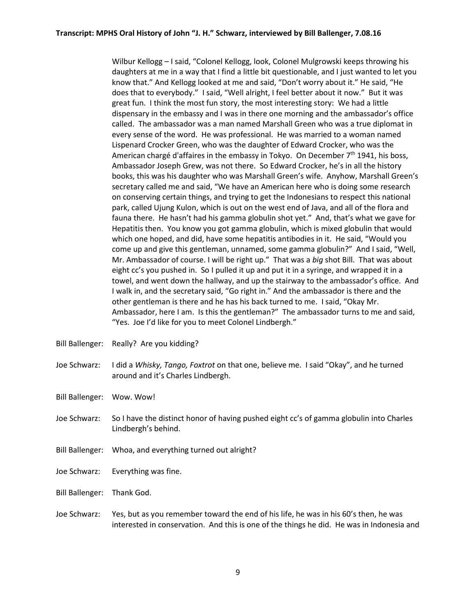Wilbur Kellogg – I said, "Colonel Kellogg, look, Colonel Mulgrowski keeps throwing his daughters at me in a way that I find a little bit questionable, and I just wanted to let you know that." And Kellogg looked at me and said, "Don't worry about it." He said, "He does that to everybody." I said, "Well alright, I feel better about it now." But it was great fun. I think the most fun story, the most interesting story: We had a little dispensary in the embassy and I was in there one morning and the ambassador's office called. The ambassador was a man named Marshall Green who was a true diplomat in every sense of the word. He was professional. He was married to a woman named Lispenard Crocker Green, who was the daughter of Edward Crocker, who was the American chargé d'affaires in the embassy in Tokyo. On December  $7<sup>th</sup>$  1941, his boss, Ambassador Joseph Grew, was not there. So Edward Crocker, he's in all the history books, this was his daughter who was Marshall Green's wife. Anyhow, Marshall Green's secretary called me and said, "We have an American here who is doing some research on conserving certain things, and trying to get the Indonesians to respect this national park, called Ujung Kulon, which is out on the west end of Java, and all of the flora and fauna there. He hasn't had his gamma globulin shot yet." And, that's what we gave for Hepatitis then. You know you got gamma globulin, which is mixed globulin that would which one hoped, and did, have some hepatitis antibodies in it. He said, "Would you come up and give this gentleman, unnamed, some gamma globulin?" And I said, "Well, Mr. Ambassador of course. I will be right up." That was a *big* shot Bill. That was about eight cc's you pushed in. So I pulled it up and put it in a syringe, and wrapped it in a towel, and went down the hallway, and up the stairway to the ambassador's office. And I walk in, and the secretary said, "Go right in." And the ambassador is there and the other gentleman is there and he has his back turned to me. I said, "Okay Mr. Ambassador, here I am. Is this the gentleman?" The ambassador turns to me and said, "Yes. Joe I'd like for you to meet Colonel Lindbergh."

- Bill Ballenger: Really? Are you kidding?
- Joe Schwarz: I did a *Whisky, Tango, Foxtrot* on that one, believe me. I said "Okay", and he turned around and it's Charles Lindbergh.
- Bill Ballenger: Wow. Wow!
- Joe Schwarz: So I have the distinct honor of having pushed eight cc's of gamma globulin into Charles Lindbergh's behind.
- Bill Ballenger: Whoa, and everything turned out alright?
- Joe Schwarz: Everything was fine.
- Bill Ballenger: Thank God.
- Joe Schwarz: Yes, but as you remember toward the end of his life, he was in his 60's then, he was interested in conservation. And this is one of the things he did. He was in Indonesia and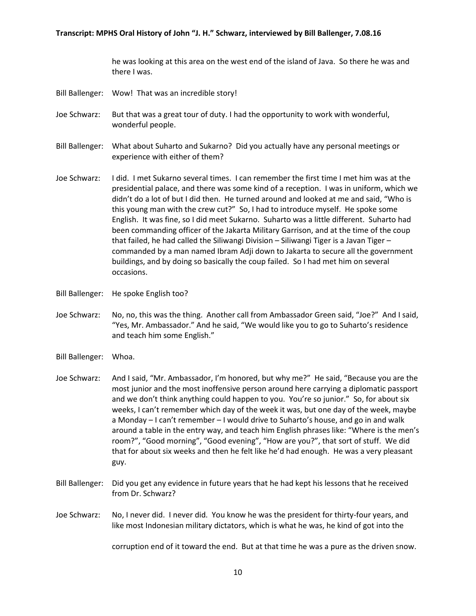he was looking at this area on the west end of the island of Java. So there he was and there I was.

- Bill Ballenger: Wow! That was an incredible story!
- Joe Schwarz: But that was a great tour of duty. I had the opportunity to work with wonderful, wonderful people.
- Bill Ballenger: What about Suharto and Sukarno? Did you actually have any personal meetings or experience with either of them?
- Joe Schwarz: I did. I met Sukarno several times. I can remember the first time I met him was at the presidential palace, and there was some kind of a reception. I was in uniform, which we didn't do a lot of but I did then. He turned around and looked at me and said, "Who is this young man with the crew cut?" So, I had to introduce myself. He spoke some English. It was fine, so I did meet Sukarno. Suharto was a little different. Suharto had been commanding officer of the Jakarta Military Garrison, and at the time of the coup that failed, he had called the Siliwangi Division – Siliwangi Tiger is a Javan Tiger – commanded by a man named Ibram Adji down to Jakarta to secure all the government buildings, and by doing so basically the coup failed. So I had met him on several occasions.
- Bill Ballenger: He spoke English too?
- Joe Schwarz: No, no, this was the thing. Another call from Ambassador Green said, "Joe?" And I said, "Yes, Mr. Ambassador." And he said, "We would like you to go to Suharto's residence and teach him some English."
- Bill Ballenger: Whoa.
- Joe Schwarz: And I said, "Mr. Ambassador, I'm honored, but why me?" He said, "Because you are the most junior and the most inoffensive person around here carrying a diplomatic passport and we don't think anything could happen to you. You're so junior." So, for about six weeks, I can't remember which day of the week it was, but one day of the week, maybe a Monday – I can't remember – I would drive to Suharto's house, and go in and walk around a table in the entry way, and teach him English phrases like: "Where is the men's room?", "Good morning", "Good evening", "How are you?", that sort of stuff. We did that for about six weeks and then he felt like he'd had enough. He was a very pleasant guy.
- Bill Ballenger: Did you get any evidence in future years that he had kept his lessons that he received from Dr. Schwarz?
- Joe Schwarz: No, I never did. I never did. You know he was the president for thirty-four years, and like most Indonesian military dictators, which is what he was, he kind of got into the

corruption end of it toward the end. But at that time he was a pure as the driven snow.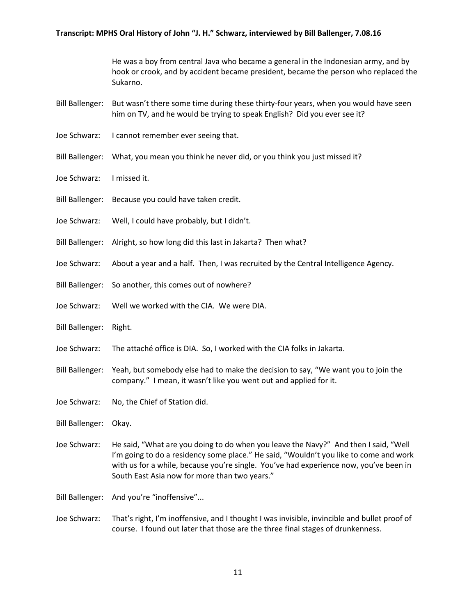He was a boy from central Java who became a general in the Indonesian army, and by hook or crook, and by accident became president, became the person who replaced the Sukarno.

- Bill Ballenger: But wasn't there some time during these thirty-four years, when you would have seen him on TV, and he would be trying to speak English? Did you ever see it?
- Joe Schwarz: I cannot remember ever seeing that.
- Bill Ballenger: What, you mean you think he never did, or you think you just missed it?
- Joe Schwarz: I missed it.
- Bill Ballenger: Because you could have taken credit.
- Joe Schwarz: Well, I could have probably, but I didn't.
- Bill Ballenger: Alright, so how long did this last in Jakarta? Then what?
- Joe Schwarz: About a year and a half. Then, I was recruited by the Central Intelligence Agency.
- Bill Ballenger: So another, this comes out of nowhere?
- Joe Schwarz: Well we worked with the CIA. We were DIA.
- Bill Ballenger: Right.
- Joe Schwarz: The attaché office is DIA. So, I worked with the CIA folks in Jakarta.
- Bill Ballenger: Yeah, but somebody else had to make the decision to say, "We want you to join the company." I mean, it wasn't like you went out and applied for it.
- Joe Schwarz: No, the Chief of Station did.

Bill Ballenger: Okay.

- Joe Schwarz: He said, "What are you doing to do when you leave the Navy?" And then I said, "Well I'm going to do a residency some place." He said, "Wouldn't you like to come and work with us for a while, because you're single. You've had experience now, you've been in South East Asia now for more than two years."
- Bill Ballenger: And you're "inoffensive"...
- Joe Schwarz: That's right, I'm inoffensive, and I thought I was invisible, invincible and bullet proof of course. I found out later that those are the three final stages of drunkenness.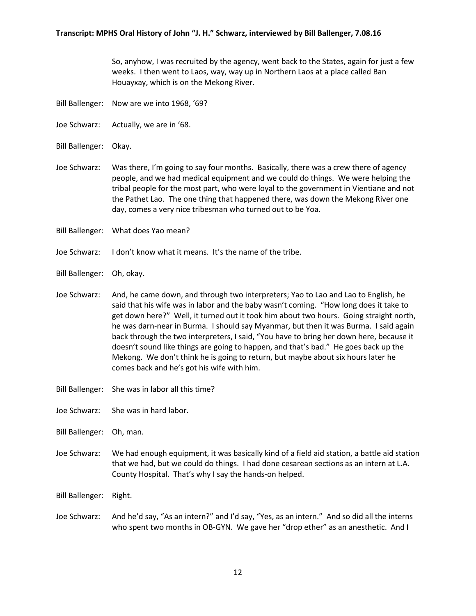So, anyhow, I was recruited by the agency, went back to the States, again for just a few weeks. I then went to Laos, way, way up in Northern Laos at a place called Ban Houayxay, which is on the Mekong River.

- Bill Ballenger: Now are we into 1968, '69?
- Joe Schwarz: Actually, we are in '68.
- Bill Ballenger: Okay.
- Joe Schwarz: Was there, I'm going to say four months. Basically, there was a crew there of agency people, and we had medical equipment and we could do things. We were helping the tribal people for the most part, who were loyal to the government in Vientiane and not the Pathet Lao. The one thing that happened there, was down the Mekong River one day, comes a very nice tribesman who turned out to be Yoa.
- Bill Ballenger: What does Yao mean?
- Joe Schwarz: I don't know what it means. It's the name of the tribe.
- Bill Ballenger: Oh, okay.
- Joe Schwarz: And, he came down, and through two interpreters; Yao to Lao and Lao to English, he said that his wife was in labor and the baby wasn't coming. "How long does it take to get down here?" Well, it turned out it took him about two hours. Going straight north, he was darn-near in Burma. I should say Myanmar, but then it was Burma. I said again back through the two interpreters, I said, "You have to bring her down here, because it doesn't sound like things are going to happen, and that's bad." He goes back up the Mekong. We don't think he is going to return, but maybe about six hours later he comes back and he's got his wife with him.
- Bill Ballenger: She was in labor all this time?
- Joe Schwarz: She was in hard labor.
- Bill Ballenger: Oh, man.
- Joe Schwarz: We had enough equipment, it was basically kind of a field aid station, a battle aid station that we had, but we could do things. I had done cesarean sections as an intern at L.A. County Hospital. That's why I say the hands-on helped.

Bill Ballenger: Right.

Joe Schwarz: And he'd say, "As an intern?" and I'd say, "Yes, as an intern." And so did all the interns who spent two months in OB-GYN. We gave her "drop ether" as an anesthetic. And I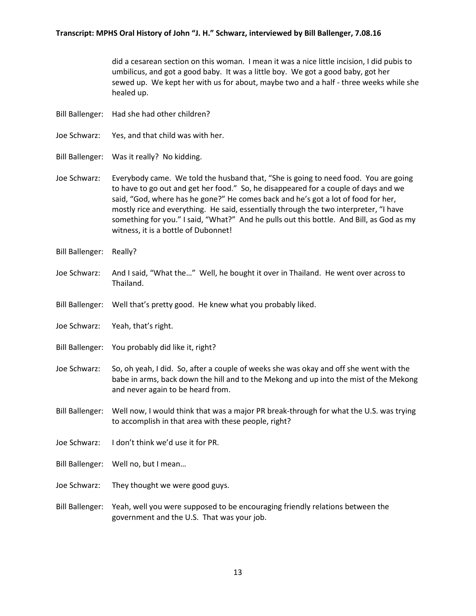did a cesarean section on this woman. I mean it was a nice little incision, I did pubis to umbilicus, and got a good baby. It was a little boy. We got a good baby, got her sewed up. We kept her with us for about, maybe two and a half - three weeks while she healed up.

- Bill Ballenger: Had she had other children?
- Joe Schwarz: Yes, and that child was with her.
- Bill Ballenger: Was it really? No kidding.
- Joe Schwarz: Everybody came. We told the husband that, "She is going to need food. You are going to have to go out and get her food." So, he disappeared for a couple of days and we said, "God, where has he gone?" He comes back and he's got a lot of food for her, mostly rice and everything. He said, essentially through the two interpreter, "I have something for you." I said, "What?" And he pulls out this bottle. And Bill, as God as my witness, it is a bottle of Dubonnet!
- Bill Ballenger: Really?
- Joe Schwarz: And I said, "What the…" Well, he bought it over in Thailand. He went over across to Thailand.
- Bill Ballenger: Well that's pretty good. He knew what you probably liked.
- Joe Schwarz: Yeah, that's right.
- Bill Ballenger: You probably did like it, right?
- Joe Schwarz: So, oh yeah, I did. So, after a couple of weeks she was okay and off she went with the babe in arms, back down the hill and to the Mekong and up into the mist of the Mekong and never again to be heard from.
- Bill Ballenger: Well now, I would think that was a major PR break-through for what the U.S. was trying to accomplish in that area with these people, right?
- Joe Schwarz: I don't think we'd use it for PR.
- Bill Ballenger: Well no, but I mean…
- Joe Schwarz: They thought we were good guys.
- Bill Ballenger: Yeah, well you were supposed to be encouraging friendly relations between the government and the U.S. That was your job.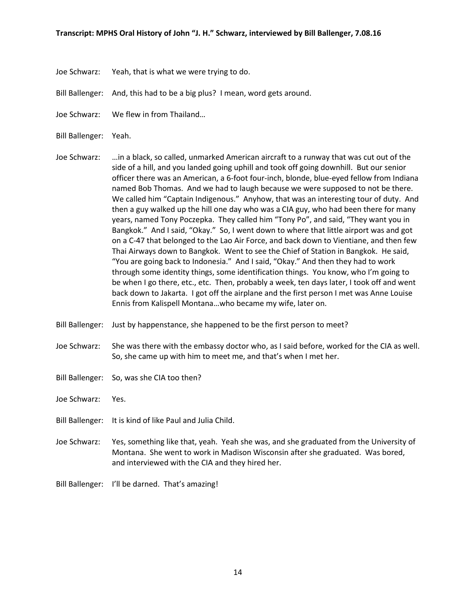- Joe Schwarz: Yeah, that is what we were trying to do.
- Bill Ballenger: And, this had to be a big plus? I mean, word gets around.
- Joe Schwarz: We flew in from Thailand…
- Bill Ballenger: Yeah.
- Joe Schwarz: …in a black, so called, unmarked American aircraft to a runway that was cut out of the side of a hill, and you landed going uphill and took off going downhill. But our senior officer there was an American, a 6-foot four-inch, blonde, blue-eyed fellow from Indiana named Bob Thomas. And we had to laugh because we were supposed to not be there. We called him "Captain Indigenous." Anyhow, that was an interesting tour of duty. And then a guy walked up the hill one day who was a CIA guy, who had been there for many years, named Tony Poczepka. They called him "Tony Po", and said, "They want you in Bangkok." And I said, "Okay." So, I went down to where that little airport was and got on a C-47 that belonged to the Lao Air Force, and back down to Vientiane, and then few Thai Airways down to Bangkok. Went to see the Chief of Station in Bangkok. He said, "You are going back to Indonesia." And I said, "Okay." And then they had to work through some identity things, some identification things. You know, who I'm going to be when I go there, etc., etc. Then, probably a week, ten days later, I took off and went back down to Jakarta. I got off the airplane and the first person I met was Anne Louise Ennis from Kalispell Montana…who became my wife, later on.
- Bill Ballenger: Just by happenstance, she happened to be the first person to meet?
- Joe Schwarz: She was there with the embassy doctor who, as I said before, worked for the CIA as well. So, she came up with him to meet me, and that's when I met her.
- Bill Ballenger: So, was she CIA too then?
- Joe Schwarz: Yes.
- Bill Ballenger: It is kind of like Paul and Julia Child.
- Joe Schwarz: Yes, something like that, yeah. Yeah she was, and she graduated from the University of Montana. She went to work in Madison Wisconsin after she graduated. Was bored, and interviewed with the CIA and they hired her.
- Bill Ballenger: I'll be darned. That's amazing!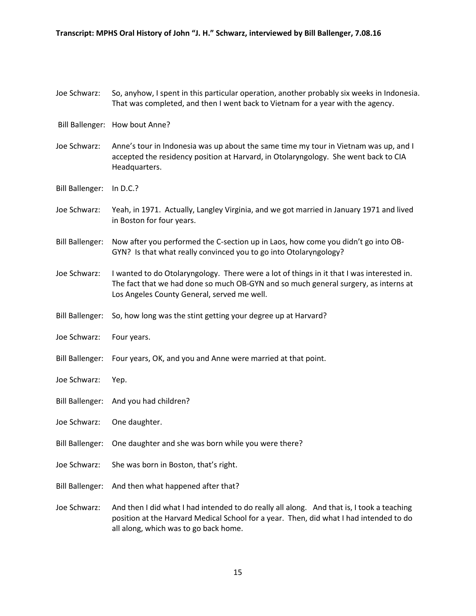## Joe Schwarz: So, anyhow, I spent in this particular operation, another probably six weeks in Indonesia. That was completed, and then I went back to Vietnam for a year with the agency.

- Bill Ballenger: How bout Anne?
- Joe Schwarz: Anne's tour in Indonesia was up about the same time my tour in Vietnam was up, and I accepted the residency position at Harvard, in Otolaryngology. She went back to CIA Headquarters.
- Bill Ballenger: In D.C.?
- Joe Schwarz: Yeah, in 1971. Actually, Langley Virginia, and we got married in January 1971 and lived in Boston for four years.
- Bill Ballenger: Now after you performed the C-section up in Laos, how come you didn't go into OB-GYN? Is that what really convinced you to go into Otolaryngology?
- Joe Schwarz: I wanted to do Otolaryngology. There were a lot of things in it that I was interested in. The fact that we had done so much OB-GYN and so much general surgery, as interns at Los Angeles County General, served me well.
- Bill Ballenger: So, how long was the stint getting your degree up at Harvard?
- Joe Schwarz: Four years.
- Bill Ballenger: Four years, OK, and you and Anne were married at that point.
- Joe Schwarz: Yep.
- Bill Ballenger: And you had children?
- Joe Schwarz: One daughter.
- Bill Ballenger: One daughter and she was born while you were there?
- Joe Schwarz: She was born in Boston, that's right.
- Bill Ballenger: And then what happened after that?
- Joe Schwarz: And then I did what I had intended to do really all along. And that is, I took a teaching position at the Harvard Medical School for a year. Then, did what I had intended to do all along, which was to go back home.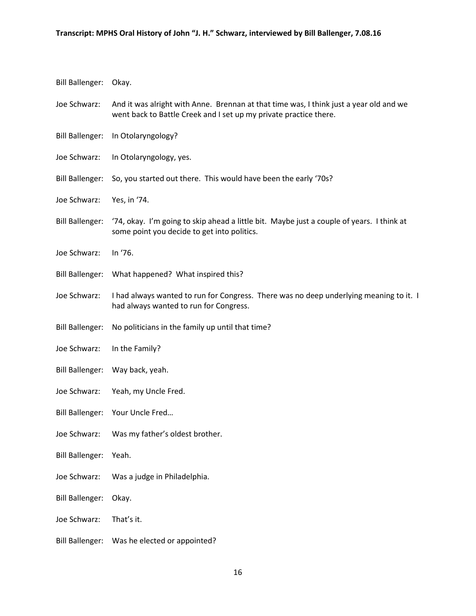| <b>Bill Ballenger:</b> | Okay.                                                                                                                                                       |
|------------------------|-------------------------------------------------------------------------------------------------------------------------------------------------------------|
| Joe Schwarz:           | And it was alright with Anne. Brennan at that time was, I think just a year old and we<br>went back to Battle Creek and I set up my private practice there. |
| <b>Bill Ballenger:</b> | In Otolaryngology?                                                                                                                                          |
| Joe Schwarz:           | In Otolaryngology, yes.                                                                                                                                     |
| <b>Bill Ballenger:</b> | So, you started out there. This would have been the early '70s?                                                                                             |
| Joe Schwarz:           | Yes, in '74.                                                                                                                                                |
| <b>Bill Ballenger:</b> | '74, okay. I'm going to skip ahead a little bit. Maybe just a couple of years. I think at<br>some point you decide to get into politics.                    |
| Joe Schwarz:           | In '76.                                                                                                                                                     |
| <b>Bill Ballenger:</b> | What happened? What inspired this?                                                                                                                          |
| Joe Schwarz:           | I had always wanted to run for Congress. There was no deep underlying meaning to it. I<br>had always wanted to run for Congress.                            |
| <b>Bill Ballenger:</b> | No politicians in the family up until that time?                                                                                                            |
| Joe Schwarz:           | In the Family?                                                                                                                                              |
| <b>Bill Ballenger:</b> | Way back, yeah.                                                                                                                                             |
| Joe Schwarz:           | Yeah, my Uncle Fred.                                                                                                                                        |
| <b>Bill Ballenger:</b> | Your Uncle Fred                                                                                                                                             |
| Joe Schwarz:           | Was my father's oldest brother.                                                                                                                             |
| <b>Bill Ballenger:</b> | Yeah.                                                                                                                                                       |
| Joe Schwarz:           | Was a judge in Philadelphia.                                                                                                                                |
| <b>Bill Ballenger:</b> | Okay.                                                                                                                                                       |
| Joe Schwarz:           | That's it.                                                                                                                                                  |
| <b>Bill Ballenger:</b> | Was he elected or appointed?                                                                                                                                |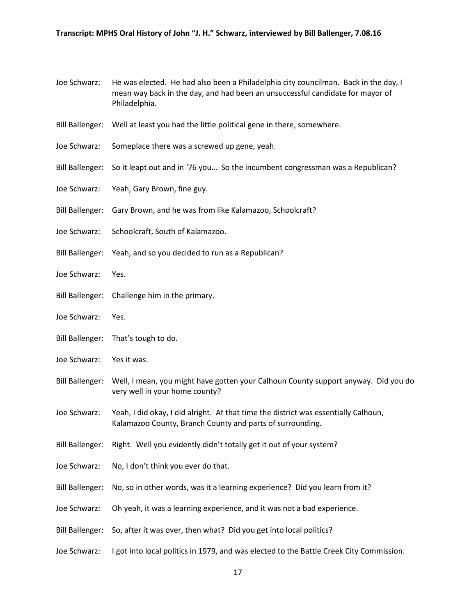- Joe Schwarz: He was elected. He had also been a Philadelphia city councilman. Back in the day, I mean way back in the day, and had been an unsuccessful candidate for mayor of Philadelphia.
- Bill Ballenger: Well at least you had the little political gene in there, somewhere.
- Joe Schwarz: Someplace there was a screwed up gene, yeah.
- Bill Ballenger: So it leapt out and in '76 you... So the incumbent congressman was a Republican?
- Joe Schwarz: Yeah, Gary Brown, fine guy.
- Bill Ballenger: Gary Brown, and he was from like Kalamazoo, Schoolcraft?
- Joe Schwarz: Schoolcraft, South of Kalamazoo.
- Bill Ballenger: Yeah, and so you decided to run as a Republican?
- Joe Schwarz: Yes.
- Bill Ballenger: Challenge him in the primary.
- Joe Schwarz: Yes.
- Bill Ballenger: That's tough to do.
- Joe Schwarz: Yes it was.
- Bill Ballenger: Well, I mean, you might have gotten your Calhoun County support anyway. Did you do very well in your home county?
- Joe Schwarz: Yeah, I did okay, I did alright. At that time the district was essentially Calhoun, Kalamazoo County, Branch County and parts of surrounding.
- Bill Ballenger: Right. Well you evidently didn't totally get it out of your system?
- Joe Schwarz: No, I don't think you ever do that.
- Bill Ballenger: No, so in other words, was it a learning experience? Did you learn from it?
- Joe Schwarz: Oh yeah, it was a learning experience, and it was not a bad experience.
- Bill Ballenger: So, after it was over, then what? Did you get into local politics?
- Joe Schwarz: I got into local politics in 1979, and was elected to the Battle Creek City Commission.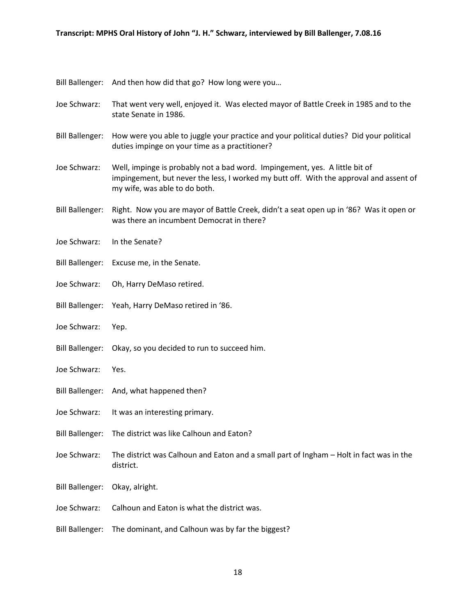Bill Ballenger: And then how did that go? How long were you…

- Joe Schwarz: That went very well, enjoyed it. Was elected mayor of Battle Creek in 1985 and to the state Senate in 1986.
- Bill Ballenger: How were you able to juggle your practice and your political duties? Did your political duties impinge on your time as a practitioner?
- Joe Schwarz: Well, impinge is probably not a bad word. Impingement, yes. A little bit of impingement, but never the less, I worked my butt off. With the approval and assent of my wife, was able to do both.
- Bill Ballenger: Right. Now you are mayor of Battle Creek, didn't a seat open up in '86? Was it open or was there an incumbent Democrat in there?
- Joe Schwarz: In the Senate?
- Bill Ballenger: Excuse me, in the Senate.
- Joe Schwarz: Oh, Harry DeMaso retired.
- Bill Ballenger: Yeah, Harry DeMaso retired in '86.
- Joe Schwarz: Yep.
- Bill Ballenger: Okay, so you decided to run to succeed him.
- Joe Schwarz: Yes.
- Bill Ballenger: And, what happened then?
- Joe Schwarz: It was an interesting primary.
- Bill Ballenger: The district was like Calhoun and Eaton?
- Joe Schwarz: The district was Calhoun and Eaton and a small part of Ingham Holt in fact was in the district.
- Bill Ballenger: Okay, alright.
- Joe Schwarz: Calhoun and Eaton is what the district was.
- Bill Ballenger: The dominant, and Calhoun was by far the biggest?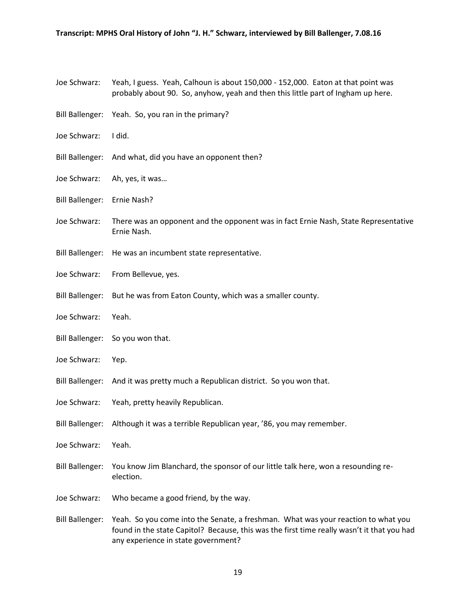- Joe Schwarz: Yeah, I guess. Yeah, Calhoun is about 150,000 152,000. Eaton at that point was probably about 90. So, anyhow, yeah and then this little part of Ingham up here.
- Bill Ballenger: Yeah. So, you ran in the primary?
- Joe Schwarz: I did.
- Bill Ballenger: And what, did you have an opponent then?
- Joe Schwarz: Ah, yes, it was…
- Bill Ballenger: Ernie Nash?
- Joe Schwarz: There was an opponent and the opponent was in fact Ernie Nash, State Representative Ernie Nash.
- Bill Ballenger: He was an incumbent state representative.
- Joe Schwarz: From Bellevue, yes.
- Bill Ballenger: But he was from Eaton County, which was a smaller county.
- Joe Schwarz: Yeah.
- Bill Ballenger: So you won that.
- Joe Schwarz: Yep.
- Bill Ballenger: And it was pretty much a Republican district. So you won that.
- Joe Schwarz: Yeah, pretty heavily Republican.
- Bill Ballenger: Although it was a terrible Republican year, '86, you may remember.
- Joe Schwarz: Yeah.
- Bill Ballenger: You know Jim Blanchard, the sponsor of our little talk here, won a resounding reelection.
- Joe Schwarz: Who became a good friend, by the way.
- Bill Ballenger: Yeah. So you come into the Senate, a freshman. What was your reaction to what you found in the state Capitol? Because, this was the first time really wasn't it that you had any experience in state government?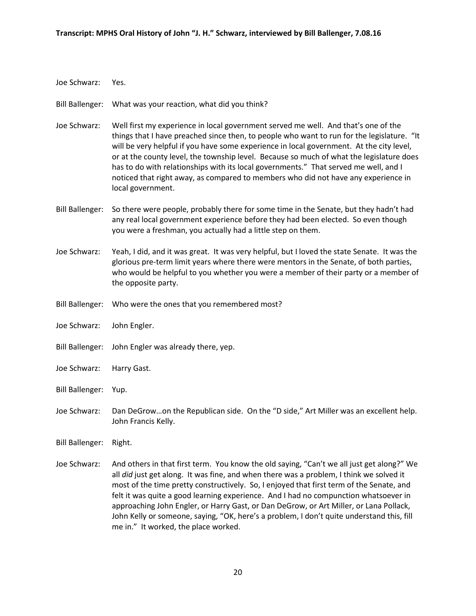- Joe Schwarz: Yes.
- Bill Ballenger: What was your reaction, what did you think?
- Joe Schwarz: Well first my experience in local government served me well. And that's one of the things that I have preached since then, to people who want to run for the legislature. "It will be very helpful if you have some experience in local government. At the city level, or at the county level, the township level. Because so much of what the legislature does has to do with relationships with its local governments." That served me well, and I noticed that right away, as compared to members who did not have any experience in local government.
- Bill Ballenger: So there were people, probably there for some time in the Senate, but they hadn't had any real local government experience before they had been elected. So even though you were a freshman, you actually had a little step on them.
- Joe Schwarz: Yeah, I did, and it was great. It was very helpful, but I loved the state Senate. It was the glorious pre-term limit years where there were mentors in the Senate, of both parties, who would be helpful to you whether you were a member of their party or a member of the opposite party.
- Bill Ballenger: Who were the ones that you remembered most?
- Joe Schwarz: John Engler.
- Bill Ballenger: John Engler was already there, yep.
- Joe Schwarz: Harry Gast.
- Bill Ballenger: Yup.
- Joe Schwarz: Dan DeGrow…on the Republican side. On the "D side," Art Miller was an excellent help. John Francis Kelly.
- Bill Ballenger: Right.
- Joe Schwarz: And others in that first term. You know the old saying, "Can't we all just get along?" We all *did* just get along. It was fine, and when there was a problem, I think we solved it most of the time pretty constructively. So, I enjoyed that first term of the Senate, and felt it was quite a good learning experience. And I had no compunction whatsoever in approaching John Engler, or Harry Gast, or Dan DeGrow, or Art Miller, or Lana Pollack, John Kelly or someone, saying, "OK, here's a problem, I don't quite understand this, fill me in." It worked, the place worked.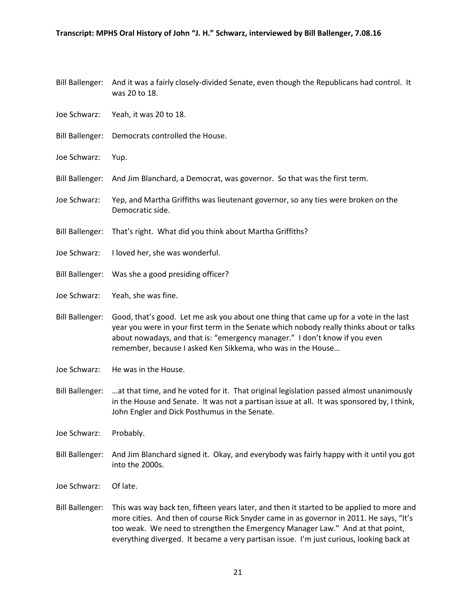- Bill Ballenger: And it was a fairly closely-divided Senate, even though the Republicans had control. It was 20 to 18.
- Joe Schwarz: Yeah, it was 20 to 18.
- Bill Ballenger: Democrats controlled the House.
- Joe Schwarz: Yup.
- Bill Ballenger: And Jim Blanchard, a Democrat, was governor. So that was the first term.
- Joe Schwarz: Yep, and Martha Griffiths was lieutenant governor, so any ties were broken on the Democratic side.
- Bill Ballenger: That's right. What did you think about Martha Griffiths?
- Joe Schwarz: I loved her, she was wonderful.
- Bill Ballenger: Was she a good presiding officer?
- Joe Schwarz: Yeah, she was fine.
- Bill Ballenger: Good, that's good. Let me ask you about one thing that came up for a vote in the last year you were in your first term in the Senate which nobody really thinks about or talks about nowadays, and that is: "emergency manager." I don't know if you even remember, because I asked Ken Sikkema, who was in the House…
- Joe Schwarz: He was in the House.
- Bill Ballenger: …at that time, and he voted for it. That original legislation passed almost unanimously in the House and Senate. It was not a partisan issue at all. It was sponsored by, I think, John Engler and Dick Posthumus in the Senate.
- Joe Schwarz: Probably.
- Bill Ballenger: And Jim Blanchard signed it. Okay, and everybody was fairly happy with it until you got into the 2000s.
- Joe Schwarz: Of late.
- Bill Ballenger: This was way back ten, fifteen years later, and then it started to be applied to more and more cities. And then of course Rick Snyder came in as governor in 2011. He says, "It's too weak. We need to strengthen the Emergency Manager Law." And at that point, everything diverged. It became a very partisan issue. I'm just curious, looking back at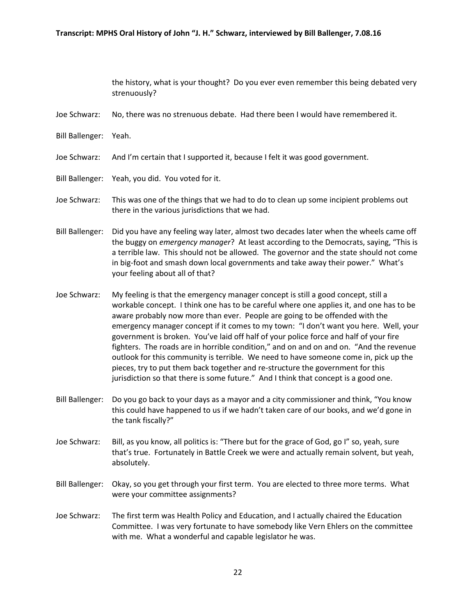the history, what is your thought? Do you ever even remember this being debated very strenuously?

- Joe Schwarz: No, there was no strenuous debate. Had there been I would have remembered it.
- Bill Ballenger: Yeah.
- Joe Schwarz: And I'm certain that I supported it, because I felt it was good government.
- Bill Ballenger: Yeah, you did. You voted for it.
- Joe Schwarz: This was one of the things that we had to do to clean up some incipient problems out there in the various jurisdictions that we had.
- Bill Ballenger: Did you have any feeling way later, almost two decades later when the wheels came off the buggy on *emergency manager*? At least according to the Democrats, saying, "This is a terrible law. This should not be allowed. The governor and the state should not come in big-foot and smash down local governments and take away their power." What's your feeling about all of that?
- Joe Schwarz: My feeling is that the emergency manager concept is still a good concept, still a workable concept. I think one has to be careful where one applies it, and one has to be aware probably now more than ever. People are going to be offended with the emergency manager concept if it comes to my town: "I don't want you here. Well, your government is broken. You've laid off half of your police force and half of your fire fighters. The roads are in horrible condition," and on and on and on. "And the revenue outlook for this community is terrible. We need to have someone come in, pick up the pieces, try to put them back together and re-structure the government for this jurisdiction so that there is some future." And I think that concept is a good one.
- Bill Ballenger: Do you go back to your days as a mayor and a city commissioner and think, "You know this could have happened to us if we hadn't taken care of our books, and we'd gone in the tank fiscally?"
- Joe Schwarz: Bill, as you know, all politics is: "There but for the grace of God, go I" so, yeah, sure that's true. Fortunately in Battle Creek we were and actually remain solvent, but yeah, absolutely.
- Bill Ballenger: Okay, so you get through your first term. You are elected to three more terms. What were your committee assignments?
- Joe Schwarz: The first term was Health Policy and Education, and I actually chaired the Education Committee. I was very fortunate to have somebody like Vern Ehlers on the committee with me. What a wonderful and capable legislator he was.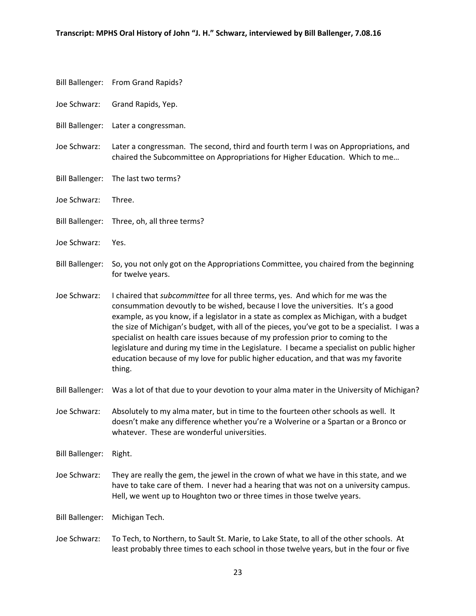- Bill Ballenger: From Grand Rapids?
- Joe Schwarz: Grand Rapids, Yep.
- Bill Ballenger: Later a congressman.
- Joe Schwarz: Later a congressman. The second, third and fourth term I was on Appropriations, and chaired the Subcommittee on Appropriations for Higher Education. Which to me…
- Bill Ballenger: The last two terms?
- Joe Schwarz: Three.
- Bill Ballenger: Three, oh, all three terms?
- Joe Schwarz: Yes.
- Bill Ballenger: So, you not only got on the Appropriations Committee, you chaired from the beginning for twelve years.
- Joe Schwarz: I chaired that *subcommittee* for all three terms, yes. And which for me was the consummation devoutly to be wished, because I love the universities. It's a good example, as you know, if a legislator in a state as complex as Michigan, with a budget the size of Michigan's budget, with all of the pieces, you've got to be a specialist. I was a specialist on health care issues because of my profession prior to coming to the legislature and during my time in the Legislature. I became a specialist on public higher education because of my love for public higher education, and that was my favorite thing.
- Bill Ballenger: Was a lot of that due to your devotion to your alma mater in the University of Michigan?
- Joe Schwarz: Absolutely to my alma mater, but in time to the fourteen other schools as well. It doesn't make any difference whether you're a Wolverine or a Spartan or a Bronco or whatever. These are wonderful universities.
- Bill Ballenger: Right.
- Joe Schwarz: They are really the gem, the jewel in the crown of what we have in this state, and we have to take care of them. I never had a hearing that was not on a university campus. Hell, we went up to Houghton two or three times in those twelve years.

Bill Ballenger: Michigan Tech.

Joe Schwarz: To Tech, to Northern, to Sault St. Marie, to Lake State, to all of the other schools. At least probably three times to each school in those twelve years, but in the four or five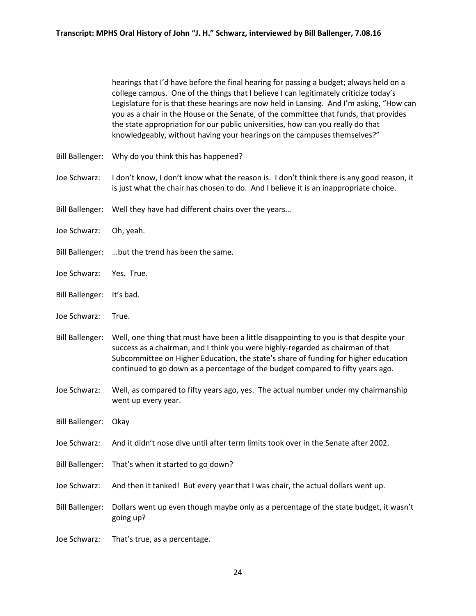hearings that I'd have before the final hearing for passing a budget; always held on a college campus. One of the things that I believe I can legitimately criticize today's Legislature for is that these hearings are now held in Lansing. And I'm asking, "How can you as a chair in the House or the Senate, of the committee that funds, that provides the state appropriation for our public universities, how can you really do that knowledgeably, without having your hearings on the campuses themselves?"

- Bill Ballenger: Why do you think this has happened?
- Joe Schwarz: I don't know, I don't know what the reason is. I don't think there is any good reason, it is just what the chair has chosen to do. And I believe it is an inappropriate choice.
- Bill Ballenger: Well they have had different chairs over the years…
- Joe Schwarz: Oh, yeah.
- Bill Ballenger: …but the trend has been the same.
- Joe Schwarz: Yes. True.
- Bill Ballenger: It's bad.
- Joe Schwarz: True.
- Bill Ballenger: Well, one thing that must have been a little disappointing to you is that despite your success as a chairman, and I think you were highly-regarded as chairman of that Subcommittee on Higher Education, the state's share of funding for higher education continued to go down as a percentage of the budget compared to fifty years ago.
- Joe Schwarz: Well, as compared to fifty years ago, yes. The actual number under my chairmanship went up every year.
- Bill Ballenger: Okay
- Joe Schwarz: And it didn't nose dive until after term limits took over in the Senate after 2002.
- Bill Ballenger: That's when it started to go down?
- Joe Schwarz: And then it tanked! But every year that I was chair, the actual dollars went up.
- Bill Ballenger: Dollars went up even though maybe only as a percentage of the state budget, it wasn't going up?
- Joe Schwarz: That's true, as a percentage.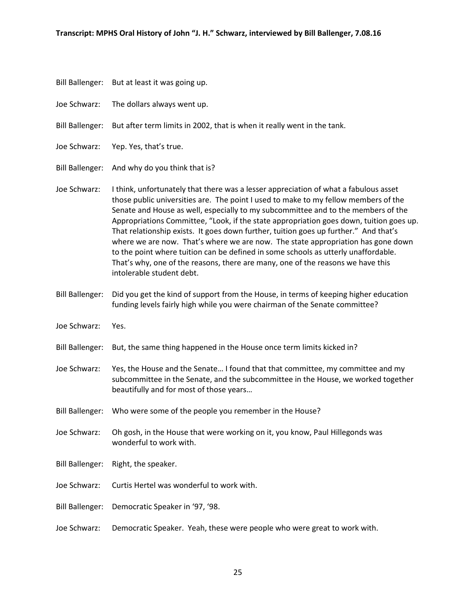- Bill Ballenger: But at least it was going up.
- Joe Schwarz: The dollars always went up.
- Bill Ballenger: But after term limits in 2002, that is when it really went in the tank.
- Joe Schwarz: Yep. Yes, that's true.
- Bill Ballenger: And why do you think that is?
- Joe Schwarz: I think, unfortunately that there was a lesser appreciation of what a fabulous asset those public universities are. The point I used to make to my fellow members of the Senate and House as well, especially to my subcommittee and to the members of the Appropriations Committee, "Look, if the state appropriation goes down, tuition goes up. That relationship exists. It goes down further, tuition goes up further." And that's where we are now. That's where we are now. The state appropriation has gone down to the point where tuition can be defined in some schools as utterly unaffordable. That's why, one of the reasons, there are many, one of the reasons we have this intolerable student debt.
- Bill Ballenger: Did you get the kind of support from the House, in terms of keeping higher education funding levels fairly high while you were chairman of the Senate committee?
- Joe Schwarz: Yes.
- Bill Ballenger: But, the same thing happened in the House once term limits kicked in?
- Joe Schwarz: Yes, the House and the Senate… I found that that committee, my committee and my subcommittee in the Senate, and the subcommittee in the House, we worked together beautifully and for most of those years…
- Bill Ballenger: Who were some of the people you remember in the House?
- Joe Schwarz: Oh gosh, in the House that were working on it, you know, Paul Hillegonds was wonderful to work with.
- Bill Ballenger: Right, the speaker.
- Joe Schwarz: Curtis Hertel was wonderful to work with.
- Bill Ballenger: Democratic Speaker in '97, '98.
- Joe Schwarz: Democratic Speaker. Yeah, these were people who were great to work with.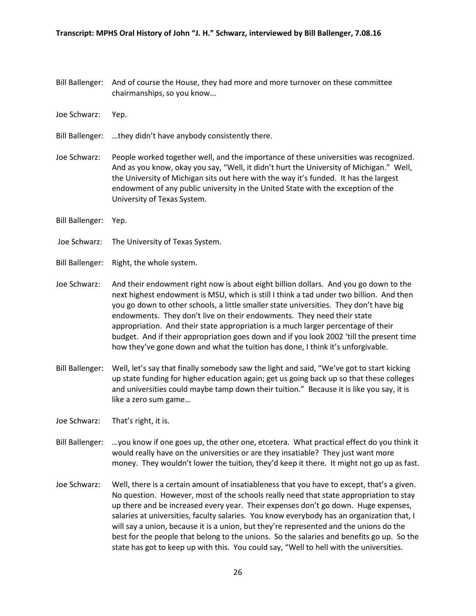- Bill Ballenger: And of course the House, they had more and more turnover on these committee chairmanships, so you know...
- Joe Schwarz: Yep.
- Bill Ballenger: …they didn't have anybody consistently there.
- Joe Schwarz: People worked together well, and the importance of these universities was recognized. And as you know, okay you say, "Well, it didn't hurt the University of Michigan." Well, the University of Michigan sits out here with the way it's funded. It has the largest endowment of any public university in the United State with the exception of the University of Texas System.
- Bill Ballenger: Yep.
- Joe Schwarz: The University of Texas System.
- Bill Ballenger: Right, the whole system.
- Joe Schwarz: And their endowment right now is about eight billion dollars. And you go down to the next highest endowment is MSU, which is still I think a tad under two billion. And then you go down to other schools, a little smaller state universities. They don't have big endowments. They don't live on their endowments. They need their state appropriation. And their state appropriation is a much larger percentage of their budget. And if their appropriation goes down and if you look 2002 'till the present time how they've gone down and what the tuition has done, I think it's unforgivable.
- Bill Ballenger: Well, let's say that finally somebody saw the light and said, "We've got to start kicking up state funding for higher education again; get us going back up so that these colleges and universities could maybe tamp down their tuition." Because it is like you say, it is like a zero sum game…
- Joe Schwarz: That's right, it is.
- Bill Ballenger: …you know if one goes up, the other one, etcetera. What practical effect do you think it would really have on the universities or are they insatiable? They just want more money. They wouldn't lower the tuition, they'd keep it there. It might not go up as fast.
- Joe Schwarz: Well, there is a certain amount of insatiableness that you have to except, that's a given. No question. However, most of the schools really need that state appropriation to stay up there and be increased every year. Their expenses don't go down. Huge expenses, salaries at universities, faculty salaries. You know everybody has an organization that, I will say a union, because it is a union, but they're represented and the unions do the best for the people that belong to the unions. So the salaries and benefits go up. So the state has got to keep up with this. You could say, "Well to hell with the universities.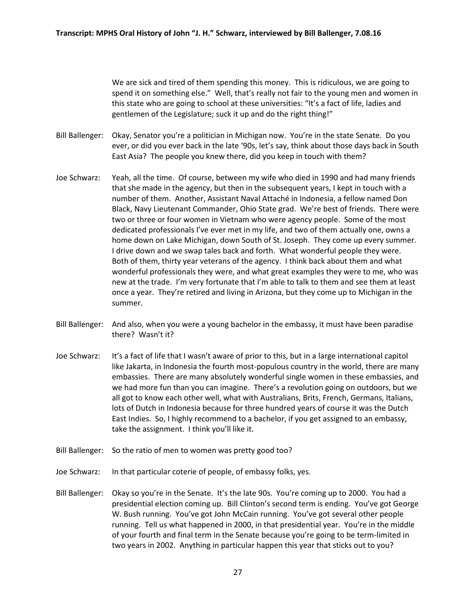We are sick and tired of them spending this money. This is ridiculous, we are going to spend it on something else." Well, that's really not fair to the young men and women in this state who are going to school at these universities: "It's a fact of life, ladies and gentlemen of the Legislature; suck it up and do the right thing!"

- Bill Ballenger: Okay, Senator you're a politician in Michigan now. You're in the state Senate. Do you ever, or did you ever back in the late '90s, let's say, think about those days back in South East Asia? The people you knew there, did you keep in touch with them?
- Joe Schwarz: Yeah, all the time. Of course, between my wife who died in 1990 and had many friends that she made in the agency, but then in the subsequent years, I kept in touch with a number of them. Another, Assistant Naval Attaché in Indonesia, a fellow named Don Black, Navy Lieutenant Commander, Ohio State grad. We're best of friends. There were two or three or four women in Vietnam who were agency people. Some of the most dedicated professionals I've ever met in my life, and two of them actually one, owns a home down on Lake Michigan, down South of St. Joseph. They come up every summer. I drive down and we swap tales back and forth. What wonderful people they were. Both of them, thirty year veterans of the agency. I think back about them and what wonderful professionals they were, and what great examples they were to me, who was new at the trade. I'm very fortunate that I'm able to talk to them and see them at least once a year. They're retired and living in Arizona, but they come up to Michigan in the summer.
- Bill Ballenger: And also, when you were a young bachelor in the embassy, it must have been paradise there? Wasn't it?
- Joe Schwarz: It's a fact of life that I wasn't aware of prior to this, but in a large international capitol like Jakarta, in Indonesia the fourth most-populous country in the world, there are many embassies. There are many absolutely wonderful single women in these embassies, and we had more fun than you can imagine. There's a revolution going on outdoors, but we all got to know each other well, what with Australians, Brits, French, Germans, Italians, lots of Dutch in Indonesia because for three hundred years of course it was the Dutch East Indies. So, I highly recommend to a bachelor, if you get assigned to an embassy, take the assignment. I think you'll like it.
- Bill Ballenger: So the ratio of men to women was pretty good too?
- Joe Schwarz: In that particular coterie of people, of embassy folks, yes.
- Bill Ballenger: Okay so you're in the Senate. It's the late 90s. You're coming up to 2000. You had a presidential election coming up. Bill Clinton's second term is ending. You've got George W. Bush running. You've got John McCain running. You've got several other people running. Tell us what happened in 2000, in that presidential year. You're in the middle of your fourth and final term in the Senate because you're going to be term-limited in two years in 2002. Anything in particular happen this year that sticks out to you?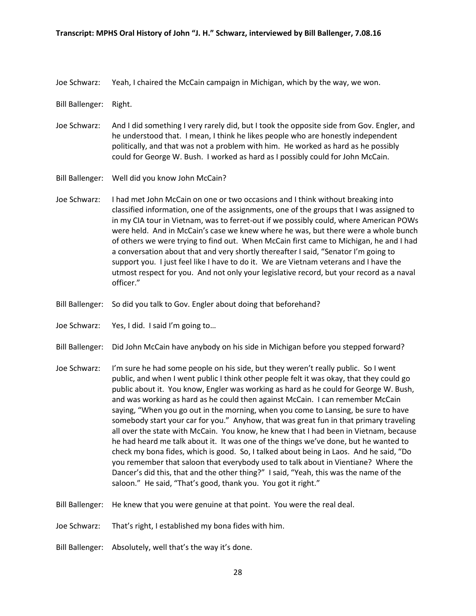Joe Schwarz: Yeah, I chaired the McCain campaign in Michigan, which by the way, we won.

Bill Ballenger: Right.

- Joe Schwarz: And I did something I very rarely did, but I took the opposite side from Gov. Engler, and he understood that. I mean, I think he likes people who are honestly independent politically, and that was not a problem with him. He worked as hard as he possibly could for George W. Bush. I worked as hard as I possibly could for John McCain.
- Bill Ballenger: Well did you know John McCain?
- Joe Schwarz: I had met John McCain on one or two occasions and I think without breaking into classified information, one of the assignments, one of the groups that I was assigned to in my CIA tour in Vietnam, was to ferret-out if we possibly could, where American POWs were held. And in McCain's case we knew where he was, but there were a whole bunch of others we were trying to find out. When McCain first came to Michigan, he and I had a conversation about that and very shortly thereafter I said, "Senator I'm going to support you. I just feel like I have to do it. We are Vietnam veterans and I have the utmost respect for you. And not only your legislative record, but your record as a naval officer."
- Bill Ballenger: So did you talk to Gov. Engler about doing that beforehand?
- Joe Schwarz: Yes, I did. I said I'm going to…
- Bill Ballenger: Did John McCain have anybody on his side in Michigan before you stepped forward?
- Joe Schwarz: I'm sure he had some people on his side, but they weren't really public. So I went public, and when I went public I think other people felt it was okay, that they could go public about it. You know, Engler was working as hard as he could for George W. Bush, and was working as hard as he could then against McCain. I can remember McCain saying, "When you go out in the morning, when you come to Lansing, be sure to have somebody start your car for you." Anyhow, that was great fun in that primary traveling all over the state with McCain. You know, he knew that I had been in Vietnam, because he had heard me talk about it. It was one of the things we've done, but he wanted to check my bona fides, which is good. So, I talked about being in Laos. And he said, "Do you remember that saloon that everybody used to talk about in Vientiane? Where the Dancer's did this, that and the other thing?" I said, "Yeah, this was the name of the saloon." He said, "That's good, thank you. You got it right."
- Bill Ballenger: He knew that you were genuine at that point. You were the real deal.
- Joe Schwarz: That's right, I established my bona fides with him.
- Bill Ballenger: Absolutely, well that's the way it's done.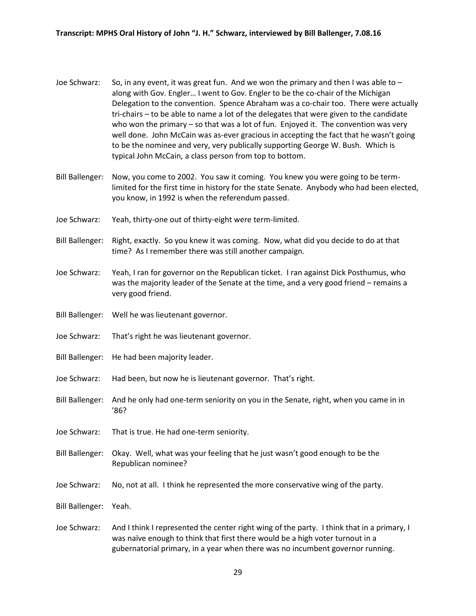- Joe Schwarz: So, in any event, it was great fun. And we won the primary and then I was able to  $$ along with Gov. Engler… I went to Gov. Engler to be the co-chair of the Michigan Delegation to the convention. Spence Abraham was a co-chair too. There were actually tri-chairs – to be able to name a lot of the delegates that were given to the candidate who won the primary – so that was a lot of fun. Enjoyed it. The convention was very well done. John McCain was as-ever gracious in accepting the fact that he wasn't going to be the nominee and very, very publically supporting George W. Bush. Which is typical John McCain, a class person from top to bottom.
- Bill Ballenger: Now, you come to 2002. You saw it coming. You knew you were going to be termlimited for the first time in history for the state Senate. Anybody who had been elected, you know, in 1992 is when the referendum passed.
- Joe Schwarz: Yeah, thirty-one out of thirty-eight were term-limited.
- Bill Ballenger: Right, exactly. So you knew it was coming. Now, what did you decide to do at that time? As I remember there was still another campaign.
- Joe Schwarz: Yeah, I ran for governor on the Republican ticket. I ran against Dick Posthumus, who was the majority leader of the Senate at the time, and a very good friend – remains a very good friend.
- Bill Ballenger: Well he was lieutenant governor.
- Joe Schwarz: That's right he was lieutenant governor.
- Bill Ballenger: He had been majority leader.
- Joe Schwarz: Had been, but now he is lieutenant governor. That's right.
- Bill Ballenger: And he only had one-term seniority on you in the Senate, right, when you came in in '86?
- Joe Schwarz: That is true. He had one-term seniority.
- Bill Ballenger: Okay. Well, what was your feeling that he just wasn't good enough to be the Republican nominee?
- Joe Schwarz: No, not at all. I think he represented the more conservative wing of the party.
- Bill Ballenger: Yeah.
- Joe Schwarz: And I think I represented the center right wing of the party. I think that in a primary, I was naïve enough to think that first there would be a high voter turnout in a gubernatorial primary, in a year when there was no incumbent governor running.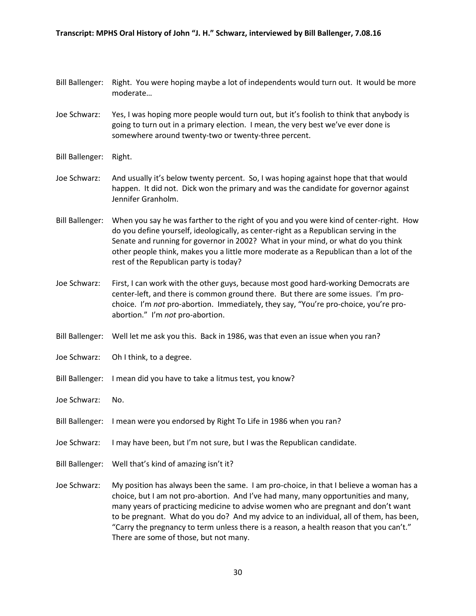- Bill Ballenger: Right. You were hoping maybe a lot of independents would turn out. It would be more moderate…
- Joe Schwarz: Yes, I was hoping more people would turn out, but it's foolish to think that anybody is going to turn out in a primary election. I mean, the very best we've ever done is somewhere around twenty-two or twenty-three percent.
- Bill Ballenger: Right.
- Joe Schwarz: And usually it's below twenty percent. So, I was hoping against hope that that would happen. It did not. Dick won the primary and was the candidate for governor against Jennifer Granholm.
- Bill Ballenger: When you say he was farther to the right of you and you were kind of center-right. How do you define yourself, ideologically, as center-right as a Republican serving in the Senate and running for governor in 2002? What in your mind, or what do you think other people think, makes you a little more moderate as a Republican than a lot of the rest of the Republican party is today?
- Joe Schwarz: First, I can work with the other guys, because most good hard-working Democrats are center-left, and there is common ground there. But there are some issues. I'm prochoice. I'm *not* pro-abortion. Immediately, they say, "You're pro-choice, you're proabortion." I'm *not* pro-abortion.
- Bill Ballenger: Well let me ask you this. Back in 1986, was that even an issue when you ran?
- Joe Schwarz: Oh I think, to a degree.
- Bill Ballenger: I mean did you have to take a litmus test, you know?
- Joe Schwarz: No.
- Bill Ballenger: I mean were you endorsed by Right To Life in 1986 when you ran?
- Joe Schwarz: I may have been, but I'm not sure, but I was the Republican candidate.
- Bill Ballenger: Well that's kind of amazing isn't it?
- Joe Schwarz: My position has always been the same. I am pro-choice, in that I believe a woman has a choice, but I am not pro-abortion. And I've had many, many opportunities and many, many years of practicing medicine to advise women who are pregnant and don't want to be pregnant. What do you do? And my advice to an individual, all of them, has been, "Carry the pregnancy to term unless there is a reason, a health reason that you can't." There are some of those, but not many.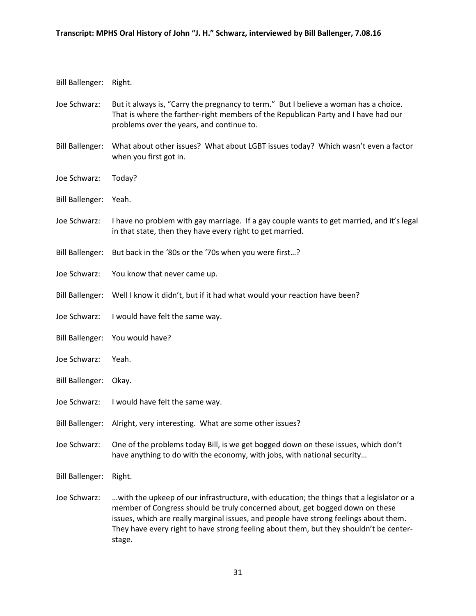Bill Ballenger: Right.

- Joe Schwarz: But it always is, "Carry the pregnancy to term." But I believe a woman has a choice. That is where the farther-right members of the Republican Party and I have had our problems over the years, and continue to.
- Bill Ballenger: What about other issues? What about LGBT issues today? Which wasn't even a factor when you first got in.
- Joe Schwarz: Today?
- Bill Ballenger: Yeah.
- Joe Schwarz: I have no problem with gay marriage. If a gay couple wants to get married, and it's legal in that state, then they have every right to get married.
- Bill Ballenger: But back in the '80s or the '70s when you were first…?
- Joe Schwarz: You know that never came up.
- Bill Ballenger: Well I know it didn't, but if it had what would your reaction have been?
- Joe Schwarz: I would have felt the same way.
- Bill Ballenger: You would have?
- Joe Schwarz: Yeah.
- Bill Ballenger: Okay.
- Joe Schwarz: I would have felt the same way.
- Bill Ballenger: Alright, very interesting. What are some other issues?
- Joe Schwarz: One of the problems today Bill, is we get bogged down on these issues, which don't have anything to do with the economy, with jobs, with national security…
- Bill Ballenger: Right.
- Joe Schwarz: …with the upkeep of our infrastructure, with education; the things that a legislator or a member of Congress should be truly concerned about, get bogged down on these issues, which are really marginal issues, and people have strong feelings about them. They have every right to have strong feeling about them, but they shouldn't be centerstage.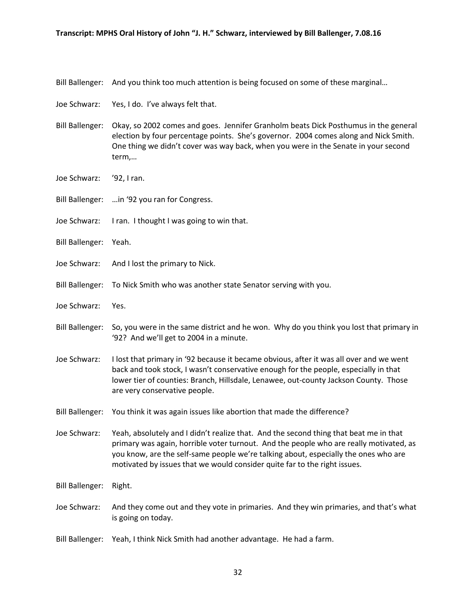- Bill Ballenger: And you think too much attention is being focused on some of these marginal…
- Joe Schwarz: Yes, I do. I've always felt that.
- Bill Ballenger: Okay, so 2002 comes and goes. Jennifer Granholm beats Dick Posthumus in the general election by four percentage points. She's governor. 2004 comes along and Nick Smith. One thing we didn't cover was way back, when you were in the Senate in your second term,…
- Joe Schwarz: '92, I ran.
- Bill Ballenger: …in '92 you ran for Congress.
- Joe Schwarz: I ran. I thought I was going to win that.
- Bill Ballenger: Yeah.
- Joe Schwarz: And I lost the primary to Nick.
- Bill Ballenger: To Nick Smith who was another state Senator serving with you.
- Joe Schwarz: Yes.
- Bill Ballenger: So, you were in the same district and he won. Why do you think you lost that primary in '92? And we'll get to 2004 in a minute.
- Joe Schwarz: I lost that primary in '92 because it became obvious, after it was all over and we went back and took stock, I wasn't conservative enough for the people, especially in that lower tier of counties: Branch, Hillsdale, Lenawee, out-county Jackson County. Those are very conservative people.
- Bill Ballenger: You think it was again issues like abortion that made the difference?
- Joe Schwarz: Yeah, absolutely and I didn't realize that. And the second thing that beat me in that primary was again, horrible voter turnout. And the people who are really motivated, as you know, are the self-same people we're talking about, especially the ones who are motivated by issues that we would consider quite far to the right issues.
- Bill Ballenger: Right.
- Joe Schwarz: And they come out and they vote in primaries. And they win primaries, and that's what is going on today.
- Bill Ballenger: Yeah, I think Nick Smith had another advantage. He had a farm.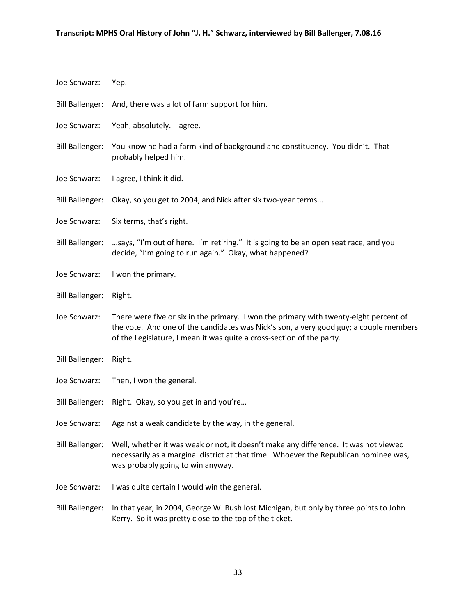| Joe Schwarz:           | Yep.                                                                                                                                                                                                                                                    |
|------------------------|---------------------------------------------------------------------------------------------------------------------------------------------------------------------------------------------------------------------------------------------------------|
| <b>Bill Ballenger:</b> | And, there was a lot of farm support for him.                                                                                                                                                                                                           |
| Joe Schwarz:           | Yeah, absolutely. I agree.                                                                                                                                                                                                                              |
| <b>Bill Ballenger:</b> | You know he had a farm kind of background and constituency. You didn't. That<br>probably helped him.                                                                                                                                                    |
| Joe Schwarz:           | I agree, I think it did.                                                                                                                                                                                                                                |
| <b>Bill Ballenger:</b> | Okay, so you get to 2004, and Nick after six two-year terms                                                                                                                                                                                             |
| Joe Schwarz:           | Six terms, that's right.                                                                                                                                                                                                                                |
| <b>Bill Ballenger:</b> | says, "I'm out of here. I'm retiring." It is going to be an open seat race, and you<br>decide, "I'm going to run again." Okay, what happened?                                                                                                           |
| Joe Schwarz:           | I won the primary.                                                                                                                                                                                                                                      |
| <b>Bill Ballenger:</b> | Right.                                                                                                                                                                                                                                                  |
| Joe Schwarz:           | There were five or six in the primary. I won the primary with twenty-eight percent of<br>the vote. And one of the candidates was Nick's son, a very good guy; a couple members<br>of the Legislature, I mean it was quite a cross-section of the party. |
| <b>Bill Ballenger:</b> | Right.                                                                                                                                                                                                                                                  |
| Joe Schwarz:           | Then, I won the general.                                                                                                                                                                                                                                |
| <b>Bill Ballenger:</b> | Right. Okay, so you get in and you're                                                                                                                                                                                                                   |
| Joe Schwarz:           | Against a weak candidate by the way, in the general.                                                                                                                                                                                                    |
| <b>Bill Ballenger:</b> | Well, whether it was weak or not, it doesn't make any difference. It was not viewed<br>necessarily as a marginal district at that time. Whoever the Republican nominee was,<br>was probably going to win anyway.                                        |
| Joe Schwarz:           | I was quite certain I would win the general.                                                                                                                                                                                                            |
| <b>Bill Ballenger:</b> | In that year, in 2004, George W. Bush lost Michigan, but only by three points to John                                                                                                                                                                   |

Kerry. So it was pretty close to the top of the ticket.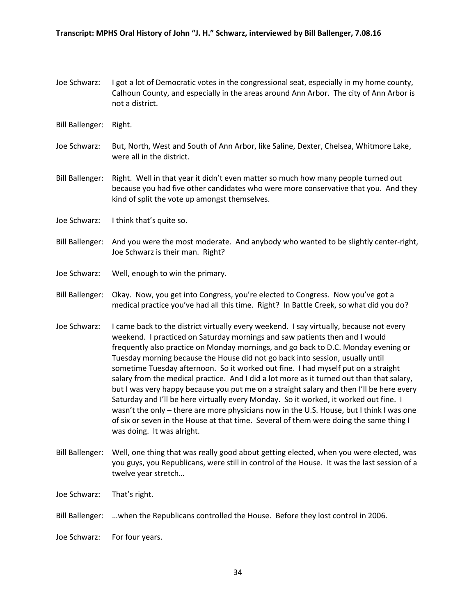- Joe Schwarz: I got a lot of Democratic votes in the congressional seat, especially in my home county, Calhoun County, and especially in the areas around Ann Arbor. The city of Ann Arbor is not a district.
- Bill Ballenger: Right.
- Joe Schwarz: But, North, West and South of Ann Arbor, like Saline, Dexter, Chelsea, Whitmore Lake, were all in the district.
- Bill Ballenger: Right. Well in that year it didn't even matter so much how many people turned out because you had five other candidates who were more conservative that you. And they kind of split the vote up amongst themselves.
- Joe Schwarz: I think that's quite so.
- Bill Ballenger: And you were the most moderate. And anybody who wanted to be slightly center-right, Joe Schwarz is their man. Right?
- Joe Schwarz: Well, enough to win the primary.
- Bill Ballenger: Okay. Now, you get into Congress, you're elected to Congress. Now you've got a medical practice you've had all this time. Right? In Battle Creek, so what did you do?
- Joe Schwarz: I came back to the district virtually every weekend. I say virtually, because not every weekend. I practiced on Saturday mornings and saw patients then and I would frequently also practice on Monday mornings, and go back to D.C. Monday evening or Tuesday morning because the House did not go back into session, usually until sometime Tuesday afternoon. So it worked out fine. I had myself put on a straight salary from the medical practice. And I did a lot more as it turned out than that salary, but I was very happy because you put me on a straight salary and then I'll be here every Saturday and I'll be here virtually every Monday. So it worked, it worked out fine. I wasn't the only – there are more physicians now in the U.S. House, but I think I was one of six or seven in the House at that time. Several of them were doing the same thing I was doing. It was alright.
- Bill Ballenger: Well, one thing that was really good about getting elected, when you were elected, was you guys, you Republicans, were still in control of the House. It was the last session of a twelve year stretch…
- Joe Schwarz: That's right.
- Bill Ballenger: …when the Republicans controlled the House. Before they lost control in 2006.
- Joe Schwarz: For four years.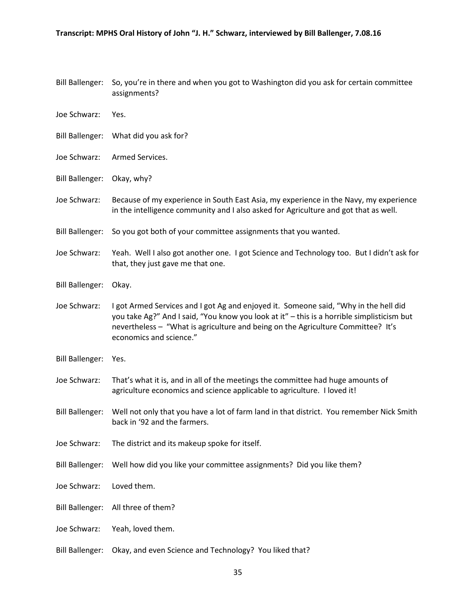- Bill Ballenger: So, you're in there and when you got to Washington did you ask for certain committee assignments?
- Joe Schwarz: Yes.
- Bill Ballenger: What did you ask for?
- Joe Schwarz: Armed Services.
- Bill Ballenger: Okay, why?
- Joe Schwarz: Because of my experience in South East Asia, my experience in the Navy, my experience in the intelligence community and I also asked for Agriculture and got that as well.
- Bill Ballenger: So you got both of your committee assignments that you wanted.
- Joe Schwarz: Yeah. Well I also got another one. I got Science and Technology too. But I didn't ask for that, they just gave me that one.
- Bill Ballenger: Okay.
- Joe Schwarz: I got Armed Services and I got Ag and enjoyed it. Someone said, "Why in the hell did you take Ag?" And I said, "You know you look at it" – this is a horrible simplisticism but nevertheless – "What is agriculture and being on the Agriculture Committee? It's economics and science."
- Bill Ballenger: Yes.
- Joe Schwarz: That's what it is, and in all of the meetings the committee had huge amounts of agriculture economics and science applicable to agriculture. I loved it!
- Bill Ballenger: Well not only that you have a lot of farm land in that district. You remember Nick Smith back in '92 and the farmers.
- Joe Schwarz: The district and its makeup spoke for itself.
- Bill Ballenger: Well how did you like your committee assignments? Did you like them?
- Joe Schwarz: Loved them.
- Bill Ballenger: All three of them?
- Joe Schwarz: Yeah, loved them.
- Bill Ballenger: Okay, and even Science and Technology? You liked that?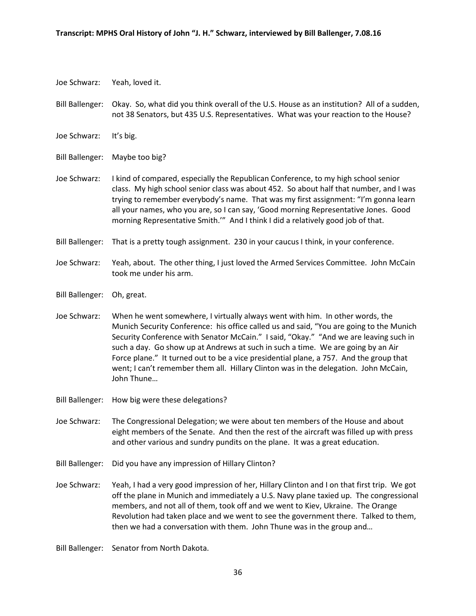- Joe Schwarz: Yeah, loved it.
- Bill Ballenger: Okay. So, what did you think overall of the U.S. House as an institution? All of a sudden, not 38 Senators, but 435 U.S. Representatives. What was your reaction to the House?
- Joe Schwarz: It's big.
- Bill Ballenger: Maybe too big?
- Joe Schwarz: I kind of compared, especially the Republican Conference, to my high school senior class. My high school senior class was about 452. So about half that number, and I was trying to remember everybody's name. That was my first assignment: "I'm gonna learn all your names, who you are, so I can say, 'Good morning Representative Jones. Good morning Representative Smith.'" And I think I did a relatively good job of that.
- Bill Ballenger: That is a pretty tough assignment. 230 in your caucus I think, in your conference.
- Joe Schwarz: Yeah, about. The other thing, I just loved the Armed Services Committee. John McCain took me under his arm.
- Bill Ballenger: Oh, great.
- Joe Schwarz: When he went somewhere, I virtually always went with him. In other words, the Munich Security Conference: his office called us and said, "You are going to the Munich Security Conference with Senator McCain." I said, "Okay." "And we are leaving such in such a day. Go show up at Andrews at such in such a time. We are going by an Air Force plane." It turned out to be a vice presidential plane, a 757. And the group that went; I can't remember them all. Hillary Clinton was in the delegation. John McCain, John Thune…
- Bill Ballenger: How big were these delegations?
- Joe Schwarz: The Congressional Delegation; we were about ten members of the House and about eight members of the Senate. And then the rest of the aircraft was filled up with press and other various and sundry pundits on the plane. It was a great education.
- Bill Ballenger: Did you have any impression of Hillary Clinton?
- Joe Schwarz: Yeah, I had a very good impression of her, Hillary Clinton and I on that first trip. We got off the plane in Munich and immediately a U.S. Navy plane taxied up. The congressional members, and not all of them, took off and we went to Kiev, Ukraine. The Orange Revolution had taken place and we went to see the government there. Talked to them, then we had a conversation with them. John Thune was in the group and…
- Bill Ballenger: Senator from North Dakota.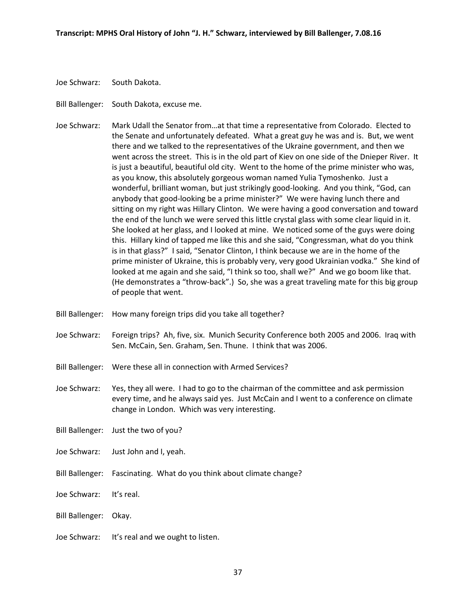- Joe Schwarz: South Dakota.
- Bill Ballenger: South Dakota, excuse me.
- Joe Schwarz: Mark Udall the Senator from…at that time a representative from Colorado. Elected to the Senate and unfortunately defeated. What a great guy he was and is. But, we went there and we talked to the representatives of the Ukraine government, and then we went across the street. This is in the old part of Kiev on one side of the Dnieper River. It is just a beautiful, beautiful old city. Went to the home of the prime minister who was, as you know, this absolutely gorgeous woman named Yulia Tymoshenko. Just a wonderful, brilliant woman, but just strikingly good-looking. And you think, "God, can anybody that good-looking be a prime minister?" We were having lunch there and sitting on my right was Hillary Clinton. We were having a good conversation and toward the end of the lunch we were served this little crystal glass with some clear liquid in it. She looked at her glass, and I looked at mine. We noticed some of the guys were doing this. Hillary kind of tapped me like this and she said, "Congressman, what do you think is in that glass?" I said, "Senator Clinton, I think because we are in the home of the prime minister of Ukraine, this is probably very, very good Ukrainian vodka." She kind of looked at me again and she said, "I think so too, shall we?" And we go boom like that. (He demonstrates a "throw-back".) So, she was a great traveling mate for this big group of people that went.
- Bill Ballenger: How many foreign trips did you take all together?
- Joe Schwarz: Foreign trips? Ah, five, six. Munich Security Conference both 2005 and 2006. Iraq with Sen. McCain, Sen. Graham, Sen. Thune. I think that was 2006.
- Bill Ballenger: Were these all in connection with Armed Services?
- Joe Schwarz: Yes, they all were. I had to go to the chairman of the committee and ask permission every time, and he always said yes. Just McCain and I went to a conference on climate change in London. Which was very interesting.
- Bill Ballenger: Just the two of you?
- Joe Schwarz: Just John and I, yeah.
- Bill Ballenger: Fascinating. What do you think about climate change?
- Joe Schwarz: It's real.
- Bill Ballenger: Okay.
- Joe Schwarz: It's real and we ought to listen.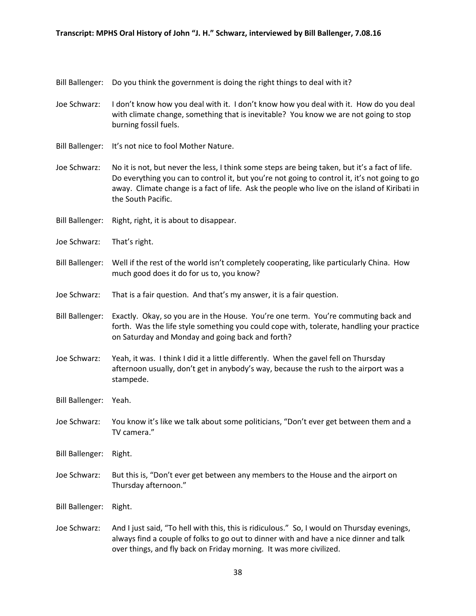Bill Ballenger: Do you think the government is doing the right things to deal with it?

- Joe Schwarz: I don't know how you deal with it. I don't know how you deal with it. How do you deal with climate change, something that is inevitable? You know we are not going to stop burning fossil fuels.
- Bill Ballenger: It's not nice to fool Mother Nature.
- Joe Schwarz: No it is not, but never the less, I think some steps are being taken, but it's a fact of life. Do everything you can to control it, but you're not going to control it, it's not going to go away. Climate change is a fact of life. Ask the people who live on the island of Kiribati in the South Pacific.
- Bill Ballenger: Right, right, it is about to disappear.
- Joe Schwarz: That's right.
- Bill Ballenger: Well if the rest of the world isn't completely cooperating, like particularly China. How much good does it do for us to, you know?
- Joe Schwarz: That is a fair question. And that's my answer, it is a fair question.
- Bill Ballenger: Exactly. Okay, so you are in the House. You're one term. You're commuting back and forth. Was the life style something you could cope with, tolerate, handling your practice on Saturday and Monday and going back and forth?
- Joe Schwarz: Yeah, it was. I think I did it a little differently. When the gavel fell on Thursday afternoon usually, don't get in anybody's way, because the rush to the airport was a stampede.
- Bill Ballenger: Yeah.
- Joe Schwarz: You know it's like we talk about some politicians, "Don't ever get between them and a TV camera."
- Bill Ballenger: Right.
- Joe Schwarz: But this is, "Don't ever get between any members to the House and the airport on Thursday afternoon."

Bill Ballenger: Right.

Joe Schwarz: And I just said, "To hell with this, this is ridiculous." So, I would on Thursday evenings, always find a couple of folks to go out to dinner with and have a nice dinner and talk over things, and fly back on Friday morning. It was more civilized.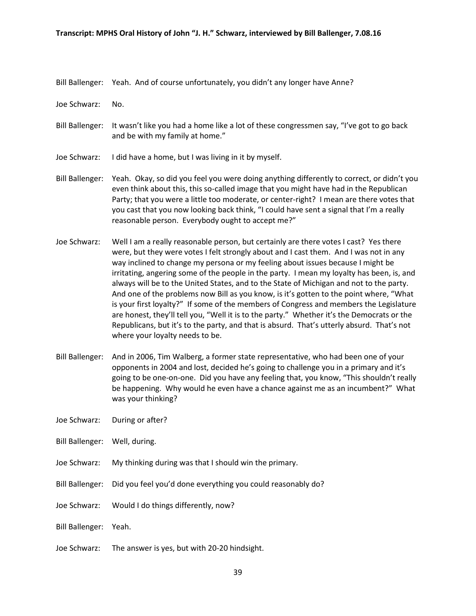Bill Ballenger: Yeah. And of course unfortunately, you didn't any longer have Anne?

Joe Schwarz: No.

- Bill Ballenger: It wasn't like you had a home like a lot of these congressmen say, "I've got to go back and be with my family at home."
- Joe Schwarz: I did have a home, but I was living in it by myself.
- Bill Ballenger: Yeah. Okay, so did you feel you were doing anything differently to correct, or didn't you even think about this, this so-called image that you might have had in the Republican Party; that you were a little too moderate, or center-right? I mean are there votes that you cast that you now looking back think, "I could have sent a signal that I'm a really reasonable person. Everybody ought to accept me?"
- Joe Schwarz: Well I am a really reasonable person, but certainly are there votes I cast? Yes there were, but they were votes I felt strongly about and I cast them. And I was not in any way inclined to change my persona or my feeling about issues because I might be irritating, angering some of the people in the party. I mean my loyalty has been, is, and always will be to the United States, and to the State of Michigan and not to the party. And one of the problems now Bill as you know, is it's gotten to the point where, "What is your first loyalty?" If some of the members of Congress and members the Legislature are honest, they'll tell you, "Well it is to the party." Whether it's the Democrats or the Republicans, but it's to the party, and that is absurd. That's utterly absurd. That's not where your loyalty needs to be.
- Bill Ballenger: And in 2006, Tim Walberg, a former state representative, who had been one of your opponents in 2004 and lost, decided he's going to challenge you in a primary and it's going to be one-on-one. Did you have any feeling that, you know, "This shouldn't really be happening. Why would he even have a chance against me as an incumbent?" What was your thinking?
- Joe Schwarz: During or after?
- Bill Ballenger: Well, during.
- Joe Schwarz: My thinking during was that I should win the primary.
- Bill Ballenger: Did you feel you'd done everything you could reasonably do?
- Joe Schwarz: Would I do things differently, now?
- Bill Ballenger: Yeah.
- Joe Schwarz: The answer is yes, but with 20-20 hindsight.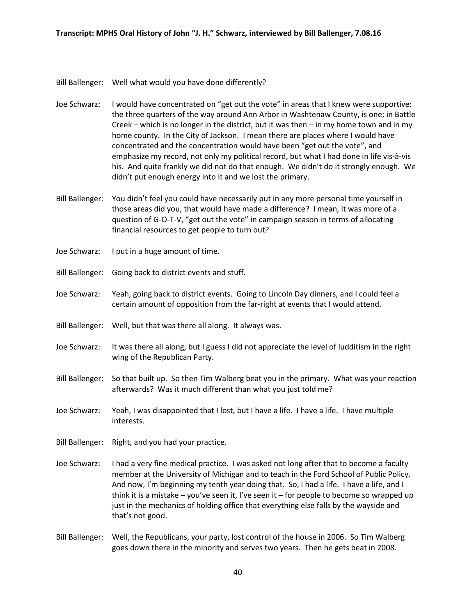Bill Ballenger: Well what would you have done differently?

- Joe Schwarz: I would have concentrated on "get out the vote" in areas that I knew were supportive: the three quarters of the way around Ann Arbor in Washtenaw County, is one; in Battle Creek – which is no longer in the district, but it was then – in my home town and in my home county. In the City of Jackson. I mean there are places where I would have concentrated and the concentration would have been "get out the vote", and emphasize my record, not only my political record, but what I had done in life vis-à-vis his. And quite frankly we did not do that enough. We didn't do it strongly enough. We didn't put enough energy into it and we lost the primary.
- Bill Ballenger: You didn't feel you could have necessarily put in any more personal time yourself in those areas did you, that would have made a difference? I mean, it was more of a question of G-O-T-V, "get out the vote" in campaign season in terms of allocating financial resources to get people to turn out?
- Joe Schwarz: I put in a huge amount of time.
- Bill Ballenger: Going back to district events and stuff.
- Joe Schwarz: Yeah, going back to district events. Going to Lincoln Day dinners, and I could feel a certain amount of opposition from the far-right at events that I would attend.
- Bill Ballenger: Well, but that was there all along. It always was.
- Joe Schwarz: It was there all along, but I guess I did not appreciate the level of ludditism in the right wing of the Republican Party.
- Bill Ballenger: So that built up. So then Tim Walberg beat you in the primary. What was your reaction afterwards? Was it much different than what you just told me?
- Joe Schwarz: Yeah, I was disappointed that I lost, but I have a life. I have a life. I have multiple interests.
- Bill Ballenger: Right, and you had your practice.
- Joe Schwarz: I had a very fine medical practice. I was asked not long after that to become a faculty member at the University of Michigan and to teach in the Ford School of Public Policy. And now, I'm beginning my tenth year doing that. So, I had a life. I have a life, and I think it is a mistake – you've seen it, I've seen it – for people to become so wrapped up just in the mechanics of holding office that everything else falls by the wayside and that's not good.
- Bill Ballenger: Well, the Republicans, your party, lost control of the house in 2006. So Tim Walberg goes down there in the minority and serves two years. Then he gets beat in 2008.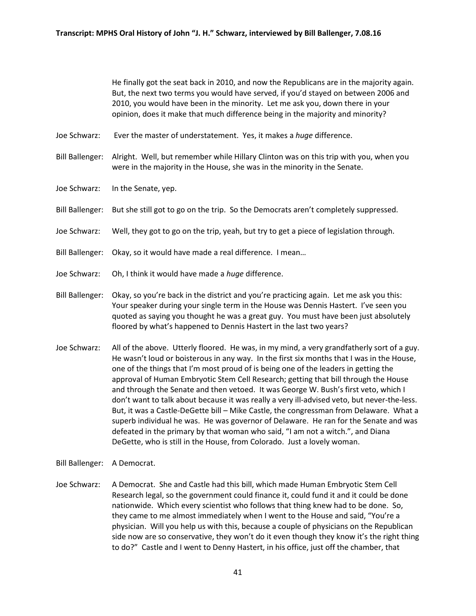He finally got the seat back in 2010, and now the Republicans are in the majority again. But, the next two terms you would have served, if you'd stayed on between 2006 and 2010, you would have been in the minority. Let me ask you, down there in your opinion, does it make that much difference being in the majority and minority?

- Joe Schwarz: Ever the master of understatement. Yes, it makes a *huge* difference.
- Bill Ballenger: Alright. Well, but remember while Hillary Clinton was on this trip with you, when you were in the majority in the House, she was in the minority in the Senate.
- Joe Schwarz: In the Senate, yep.
- Bill Ballenger: But she still got to go on the trip. So the Democrats aren't completely suppressed.
- Joe Schwarz: Well, they got to go on the trip, yeah, but try to get a piece of legislation through.
- Bill Ballenger: Okay, so it would have made a real difference. I mean…
- Joe Schwarz: Oh, I think it would have made a *huge* difference.
- Bill Ballenger: Okay, so you're back in the district and you're practicing again. Let me ask you this: Your speaker during your single term in the House was Dennis Hastert. I've seen you quoted as saying you thought he was a great guy. You must have been just absolutely floored by what's happened to Dennis Hastert in the last two years?
- Joe Schwarz: All of the above. Utterly floored. He was, in my mind, a very grandfatherly sort of a guy. He wasn't loud or boisterous in any way. In the first six months that I was in the House, one of the things that I'm most proud of is being one of the leaders in getting the approval of Human Embryotic Stem Cell Research; getting that bill through the House and through the Senate and then vetoed. It was George W. Bush's first veto, which I don't want to talk about because it was really a very ill-advised veto, but never-the-less. But, it was a Castle-DeGette bill – Mike Castle, the congressman from Delaware. What a superb individual he was. He was governor of Delaware. He ran for the Senate and was defeated in the primary by that woman who said, "I am not a witch.", and Diana DeGette, who is still in the House, from Colorado. Just a lovely woman.
- Bill Ballenger: A Democrat.
- Joe Schwarz: A Democrat. She and Castle had this bill, which made Human Embryotic Stem Cell Research legal, so the government could finance it, could fund it and it could be done nationwide. Which every scientist who follows that thing knew had to be done. So, they came to me almost immediately when I went to the House and said, "You're a physician. Will you help us with this, because a couple of physicians on the Republican side now are so conservative, they won't do it even though they know it's the right thing to do?" Castle and I went to Denny Hastert, in his office, just off the chamber, that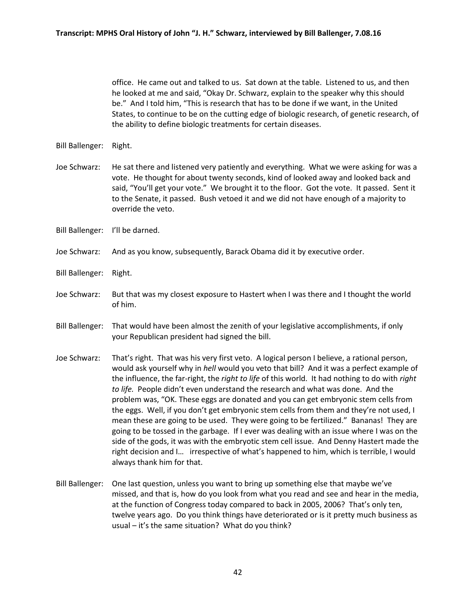office. He came out and talked to us. Sat down at the table. Listened to us, and then he looked at me and said, "Okay Dr. Schwarz, explain to the speaker why this should be." And I told him, "This is research that has to be done if we want, in the United States, to continue to be on the cutting edge of biologic research, of genetic research, of the ability to define biologic treatments for certain diseases.

- Bill Ballenger: Right.
- Joe Schwarz: He sat there and listened very patiently and everything. What we were asking for was a vote. He thought for about twenty seconds, kind of looked away and looked back and said, "You'll get your vote." We brought it to the floor. Got the vote. It passed. Sent it to the Senate, it passed. Bush vetoed it and we did not have enough of a majority to override the veto.
- Bill Ballenger: I'll be darned.
- Joe Schwarz: And as you know, subsequently, Barack Obama did it by executive order.
- Bill Ballenger: Right.
- Joe Schwarz: But that was my closest exposure to Hastert when I was there and I thought the world of him.
- Bill Ballenger: That would have been almost the zenith of your legislative accomplishments, if only your Republican president had signed the bill.
- Joe Schwarz: That's right. That was his very first veto. A logical person I believe, a rational person, would ask yourself why in *hell* would you veto that bill? And it was a perfect example of the influence, the far-right, the *right to life* of this world. It had nothing to do with *right to life.* People didn't even understand the research and what was done. And the problem was, "OK. These eggs are donated and you can get embryonic stem cells from the eggs. Well, if you don't get embryonic stem cells from them and they're not used, I mean these are going to be used. They were going to be fertilized." Bananas! They are going to be tossed in the garbage. If I ever was dealing with an issue where I was on the side of the gods, it was with the embryotic stem cell issue. And Denny Hastert made the right decision and I… irrespective of what's happened to him, which is terrible, I would always thank him for that.
- Bill Ballenger: One last question, unless you want to bring up something else that maybe we've missed, and that is, how do you look from what you read and see and hear in the media, at the function of Congress today compared to back in 2005, 2006? That's only ten, twelve years ago. Do you think things have deteriorated or is it pretty much business as usual – it's the same situation? What do you think?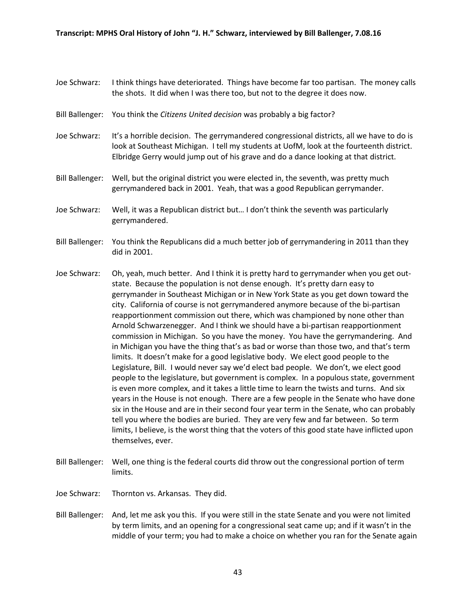- Joe Schwarz: I think things have deteriorated. Things have become far too partisan. The money calls the shots. It did when I was there too, but not to the degree it does now.
- Bill Ballenger: You think the *Citizens United decision* was probably a big factor?
- Joe Schwarz: It's a horrible decision. The gerrymandered congressional districts, all we have to do is look at Southeast Michigan. I tell my students at UofM, look at the fourteenth district. Elbridge Gerry would jump out of his grave and do a dance looking at that district.
- Bill Ballenger: Well, but the original district you were elected in, the seventh, was pretty much gerrymandered back in 2001. Yeah, that was a good Republican gerrymander.
- Joe Schwarz: Well, it was a Republican district but… I don't think the seventh was particularly gerrymandered.
- Bill Ballenger: You think the Republicans did a much better job of gerrymandering in 2011 than they did in 2001.
- Joe Schwarz: Oh, yeah, much better. And I think it is pretty hard to gerrymander when you get outstate. Because the population is not dense enough. It's pretty darn easy to gerrymander in Southeast Michigan or in New York State as you get down toward the city. California of course is not gerrymandered anymore because of the bi-partisan reapportionment commission out there, which was championed by none other than Arnold Schwarzenegger. And I think we should have a bi-partisan reapportionment commission in Michigan. So you have the money. You have the gerrymandering. And in Michigan you have the thing that's as bad or worse than those two, and that's term limits. It doesn't make for a good legislative body. We elect good people to the Legislature, Bill. I would never say we'd elect bad people. We don't, we elect good people to the legislature, but government is complex. In a populous state, government is even more complex, and it takes a little time to learn the twists and turns. And six years in the House is not enough. There are a few people in the Senate who have done six in the House and are in their second four year term in the Senate, who can probably tell you where the bodies are buried. They are very few and far between. So term limits, I believe, is the worst thing that the voters of this good state have inflicted upon themselves, ever.
- Bill Ballenger: Well, one thing is the federal courts did throw out the congressional portion of term limits.
- Joe Schwarz: Thornton vs. Arkansas. They did.
- Bill Ballenger: And, let me ask you this. If you were still in the state Senate and you were not limited by term limits, and an opening for a congressional seat came up; and if it wasn't in the middle of your term; you had to make a choice on whether you ran for the Senate again